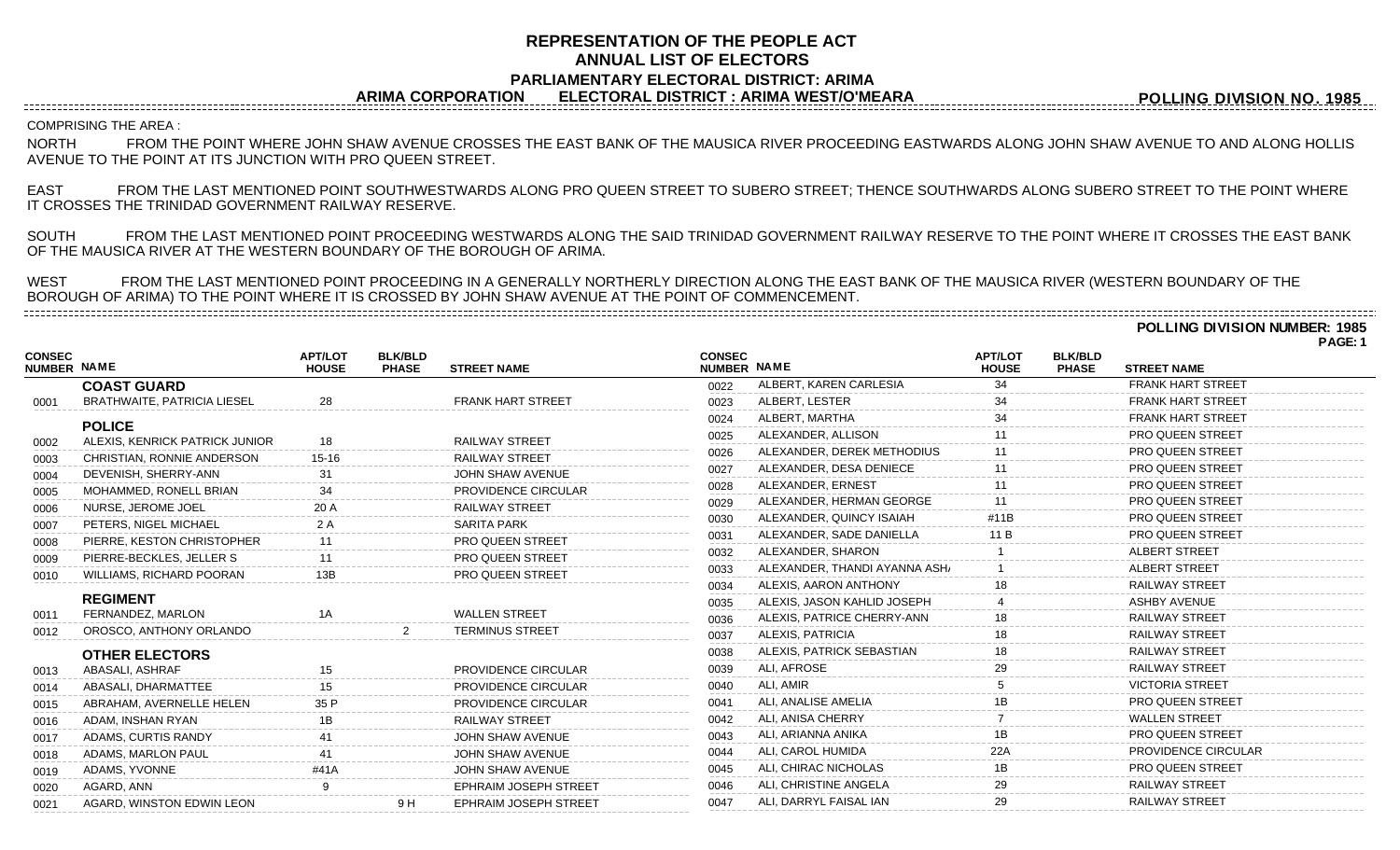## **REPRESENTATION OF THE PEOPLE ACT ANNUAL LIST OF ELECTORS PARLIAMENTARY ELECTORAL DISTRICT: ARIMA ARIMA CORPORATION ELECTORAL DISTRICT : ARIMA WEST/O'MEARA**

**POLLING DIVISION NO. 1985**

COMPRISING THE AREA :

NORTH FROM THE POINT WHERE JOHN SHAW AVENUE CROSSES THE EAST BANK OF THE MAUSICA RIVER PROCEEDING EASTWARDS ALONG JOHN SHAW AVENUE TO AND ALONG HOLLIS AVENUE TO THE POINT AT ITS JUNCTION WITH PRO QUEEN STREET.

EAST FROM THE LAST MENTIONED POINT SOUTHWESTWARDS ALONG PRO QUEEN STREET TO SUBERO STREET; THENCE SOUTHWARDS ALONG SUBERO STREET TO THE POINT WHERE IT CROSSES THE TRINIDAD GOVERNMENT RAILWAY RESERVE.

SOUTH FROM THE LAST MENTIONED POINT PROCEEDING WESTWARDS ALONG THE SAID TRINIDAD GOVERNMENT RAILWAY RESERVE TO THE POINT WHERE IT CROSSES THE EAST BANK OF THE MAUSICA RIVER AT THE WESTERN BOUNDARY OF THE BOROUGH OF ARIMA.

WEST FROM THE LAST MENTIONED POINT PROCEEDING IN A GENERALLY NORTHERLY DIRECTION ALONG THE EAST BANK OF THE MAUSICA RIVER (WESTERN BOUNDARY OF THE BOROUGH OF ARIMA) TO THE POINT WHERE IT IS CROSSED BY JOHN SHAW AVENUE AT THE POINT OF COMMENCEMENT. 

**POLLING DIVISION NUMBER: 1985**

|                                     |                                    |                                |                                |                              |                              |                               |                                |                                |                            | PAGE: 1 |
|-------------------------------------|------------------------------------|--------------------------------|--------------------------------|------------------------------|------------------------------|-------------------------------|--------------------------------|--------------------------------|----------------------------|---------|
| <b>CONSEC</b><br><b>NUMBER NAME</b> |                                    | <b>APT/LOT</b><br><b>HOUSE</b> | <b>BLK/BLD</b><br><b>PHASE</b> | <b>STREET NAME</b>           | <b>CONSEC</b><br>NUMBER NAME |                               | <b>APT/LOT</b><br><b>HOUSE</b> | <b>BLK/BLD</b><br><b>PHASE</b> | <b>STREET NAME</b>         |         |
|                                     | <b>COAST GUARD</b>                 |                                |                                |                              | 0022                         | ALBERT, KAREN CARLESIA        | 34                             |                                | <b>FRANK HART STREET</b>   |         |
| 0001                                | <b>BRATHWAITE, PATRICIA LIESEL</b> | 28                             |                                | <b>FRANK HART STREET</b>     | 0023                         | ALBERT, LESTER                |                                |                                | <b>FRANK HART STREET</b>   |         |
|                                     | <b>POLICE</b>                      |                                |                                |                              | 0024                         | ALBERT, MARTHA                |                                |                                | <b>FRANK HART STREET</b>   |         |
| 0002                                | ALEXIS, KENRICK PATRICK JUNIOR     | 18                             |                                | <b>RAILWAY STREET</b>        | 0025                         | ALEXANDER, ALLISON            |                                |                                | <b>PRO QUEEN STREET</b>    |         |
| 0003                                | CHRISTIAN, RONNIE ANDERSON         | 15-16                          |                                | <b>RAILWAY STREET</b>        | 0026                         | ALEXANDER, DEREK METHODIUS    |                                |                                | <b>PRO QUEEN STREET</b>    |         |
| 0004                                | DEVENISH, SHERRY-ANN               |                                |                                | JOHN SHAW AVENUE             | 0027                         | ALEXANDER, DESA DENIECE       |                                |                                | <b>PRO QUEEN STREET</b>    |         |
| 0005                                | MOHAMMED, RONELL BRIAN             | 34                             |                                | <b>PROVIDENCE CIRCULAR</b>   | 0028                         | ALEXANDER, ERNEST             |                                |                                | <b>PRO QUEEN STREET</b>    |         |
| 0006                                | NURSE, JEROME JOEL                 | 20 A                           |                                | <b>RAILWAY STREET</b>        | 0029                         | ALEXANDER, HERMAN GEORGE      |                                |                                | PRO QUEEN STREET           |         |
| 0007                                | PETERS, NIGEL MICHAEL              | 2A                             |                                | <b>SARITA PARK</b>           | 0030                         | ALEXANDER, QUINCY ISAIAH      | #11B                           |                                | <b>PRO QUEEN STREET</b>    |         |
| 0008                                | PIERRE, KESTON CHRISTOPHER         |                                |                                | <b>PRO QUEEN STREET</b>      | 0031                         | ALEXANDER, SADE DANIELLA      |                                |                                | <b>PRO QUEEN STREET</b>    |         |
| 0009                                | PIERRE-BECKLES, JELLER S           |                                |                                | <b>PRO QUEEN STREET</b>      | 0032                         | ALEXANDER, SHARON             |                                |                                | <b>ALBERT STREET</b>       |         |
| 0010                                | <b>WILLIAMS, RICHARD POORAN</b>    |                                |                                | <b>PRO QUEEN STREET</b>      | 0033                         | ALEXANDER, THANDI AYANNA ASH/ |                                |                                | <b>ALBERT STREET</b>       |         |
|                                     |                                    |                                |                                |                              | 0034                         | ALEXIS, AARON ANTHONY         |                                |                                | <b>RAILWAY STREET</b>      |         |
|                                     | <b>REGIMENT</b>                    |                                |                                |                              | 0035                         | ALEXIS, JASON KAHLID JOSEPH   |                                |                                | <b>ASHBY AVENUE</b>        |         |
| 0011                                | FERNANDEZ, MARLON                  |                                |                                | <b>WALLEN STREET</b>         | 0036                         | ALEXIS, PATRICE CHERRY-ANN    |                                |                                | <b>RAILWAY STREET</b>      |         |
| 0012                                | OROSCO, ANTHONY ORLANDO            |                                |                                | <b>TERMINUS STREET</b>       | 0037                         | ALEXIS, PATRICIA              |                                |                                | <b>RAILWAY STREET</b>      |         |
|                                     | <b>OTHER ELECTORS</b>              |                                |                                |                              | 0038                         | ALEXIS, PATRICK SEBASTIAN     |                                |                                | <b>RAILWAY STREET</b>      |         |
| 0013                                | ABASALI, ASHRAF                    |                                |                                | PROVIDENCE CIRCULAR          | 0039                         | <b>ALI. AFROSE</b>            |                                |                                | <b>RAILWAY STREET</b>      |         |
| 0014                                | ABASALI, DHARMATTEE                |                                |                                | PROVIDENCE CIRCULAR          | 0040                         | ALI, AMIR                     |                                |                                | <b>VICTORIA STREET</b>     |         |
| 0015                                | ABRAHAM, AVERNELLE HELEN           | 35 P                           |                                | <b>PROVIDENCE CIRCULAR</b>   | 0041                         | ALI, ANALISE AMELIA           |                                |                                | <b>PRO QUEEN STREET</b>    |         |
| 0016                                | ADAM, INSHAN RYAN                  | 1B                             |                                | <b>RAILWAY STREET</b>        | 0042                         | ALI, ANISA CHERRY             |                                |                                | <b>WALLEN STREET</b>       |         |
| 0017                                | ADAMS, CURTIS RANDY                |                                |                                | JOHN SHAW AVENUE             | 0043                         | ALI, ARIANNA ANIKA            | 1B                             |                                | <b>PRO QUEEN STREET</b>    |         |
| 0018                                | ADAMS, MARLON PAUL                 |                                |                                | JOHN SHAW AVENUE             | 0044                         | ALI, CAROL HUMIDA             | 22A                            |                                | <b>PROVIDENCE CIRCULAR</b> |         |
| 0019                                | ADAMS, YVONNE                      |                                |                                | <b>JOHN SHAW AVENUE</b>      | 0045                         | ALI, CHIRAC NICHOLAS          |                                |                                | PRO QUEEN STREET           |         |
| 0020                                | AGARD, ANN                         |                                |                                | <b>EPHRAIM JOSEPH STREET</b> | 0046                         | ALI, CHRISTINE ANGELA         | 29                             |                                | <b>RAILWAY STREET</b>      |         |
| 0021                                | AGARD, WINSTON EDWIN LEON          |                                | 9 H                            | <b>EPHRAIM JOSEPH STREET</b> | 0047                         | ALI, DARRYL FAISAL IAN        |                                |                                | <b>RAILWAY STREET</b>      |         |
|                                     |                                    |                                |                                |                              |                              |                               |                                |                                |                            |         |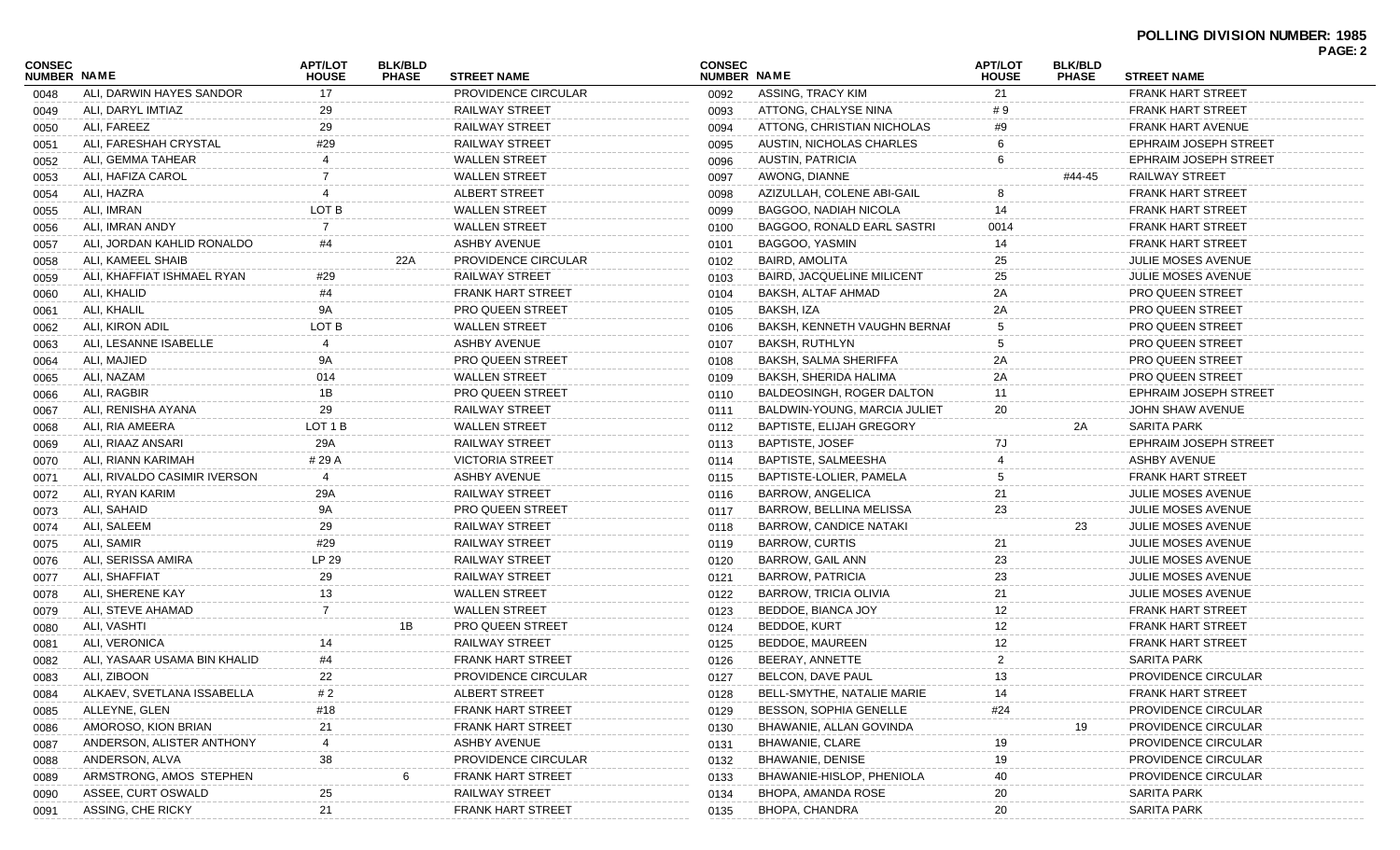| CONSEC             |                              | <b>APT/LOT</b> | <b>BLK/BLD</b> |                          | <b>CONSEC</b> |                                   | <b>APT/LOT</b> | <b>BLK/BLD</b> |                              | PAGE: 2 |
|--------------------|------------------------------|----------------|----------------|--------------------------|---------------|-----------------------------------|----------------|----------------|------------------------------|---------|
| <b>NUMBER NAME</b> |                              | <b>HOUSE</b>   | <b>PHASE</b>   | <b>STREET NAME</b>       | NUMBER NAME   |                                   | <b>HOUSE</b>   | <b>PHASE</b>   | <b>STREET NAME</b>           |         |
| 0048               | ALI, DARWIN HAYES SANDOR     | 17             |                | PROVIDENCE CIRCULAR      | 0092          | ASSING, TRACY KIM                 | 21             |                | <b>FRANK HART STREET</b>     |         |
| 0049               | ALI, DARYL IMTIAZ            | 29             |                | <b>RAILWAY STREET</b>    | 0093          | ATTONG, CHALYSE NINA              | #9             |                | <b>FRANK HART STREET</b>     |         |
| 0050               | ALI, FAREEZ                  | 29             |                | <b>RAILWAY STREET</b>    | 0094          | ATTONG, CHRISTIAN NICHOLAS        | #9             |                | <b>FRANK HART AVENUE</b>     |         |
| 0051               | ALI, FARESHAH CRYSTAL        | #29            |                | <b>RAILWAY STREET</b>    | 0095          | AUSTIN, NICHOLAS CHARLES          |                |                | <b>EPHRAIM JOSEPH STREET</b> |         |
| 0052               | ALI, GEMMA TAHEAR            |                |                | <b>WALLEN STREET</b>     | 0096          | <b>AUSTIN, PATRICIA</b>           |                |                | <b>EPHRAIM JOSEPH STREET</b> |         |
| 0053               | ALI, HAFIZA CAROL            |                |                | <b>WALLEN STREET</b>     | 0097          | AWONG, DIANNE                     |                | #44-45         | RAILWAY STREET               |         |
| 0054               | ALI. HAZRA                   |                |                | ALBERT STREET            | 0098          | AZIZULLAH, COLENE ABI-GAIL        |                |                | <b>FRANK HART STREET</b>     |         |
| 0055               | ALI, IMRAN                   | LOT B          |                | <b>WALLEN STREET</b>     | 0099          | <b>BAGGOO, NADIAH NICOLA</b>      | 14             |                | <b>FRANK HART STREET</b>     |         |
| 0056               | ALI, IMRAN ANDY              |                |                | <b>WALLEN STREET</b>     | 0100          | <b>BAGGOO, RONALD EARL SASTRI</b> | 0014           |                | <b>FRANK HART STREET</b>     |         |
| 0057               | ALI. JORDAN KAHLID RONALDO   | #4             |                | <b>ASHBY AVENUE</b>      | 0101          | BAGGOO, YASMIN                    | 14             |                | <b>FRANK HART STREET</b>     |         |
| 0058               | ALI, KAMEEL SHAIB            |                | 22A            | PROVIDENCE CIRCULAR      | 0102          | <b>BAIRD, AMOLITA</b>             | 25             |                | <b>JULIE MOSES AVENUE</b>    |         |
| 0059               | ALI, KHAFFIAT ISHMAEL RYAN   | #29            |                | <b>RAILWAY STREET</b>    | 0103          | <b>BAIRD, JACQUELINE MILICENT</b> | 25             |                | <b>JULIE MOSES AVENUE</b>    |         |
| 0060               | ALI, KHALID                  | #4             |                | <b>FRANK HART STREET</b> | 0104          | BAKSH, ALTAF AHMAD                | 2A             |                | <b>PRO QUEEN STREET</b>      |         |
| 0061               | ALI, KHALIL                  | 9A             |                | <b>PRO QUEEN STREET</b>  | 0105          | BAKSH, IZA                        | 2A             |                | <b>PRO QUEEN STREET</b>      |         |
| 0062               | ALI. KIRON ADIL              | LOT B          |                | <b>WALLEN STREET</b>     | 0106          | BAKSH, KENNETH VAUGHN BERNAF      |                |                | <b>PRO QUEEN STREET</b>      |         |
| 0063               | ALI, LESANNE ISABELLE        |                |                | <b>ASHBY AVENUE</b>      | 0107          | <b>BAKSH, RUTHLYN</b>             |                |                | <b>PRO QUEEN STREET</b>      |         |
| 0064               | ALI, MAJIED                  | 9A             |                | <b>PRO QUEEN STREET</b>  | 0108          | BAKSH, SALMA SHERIFFA             | 2A             |                | <b>PRO QUEEN STREET</b>      |         |
| 0065               | ALI, NAZAM                   | 014            |                | <b>WALLEN STREET</b>     | 0109          | BAKSH, SHERIDA HALIMA             | 2A             |                | <b>PRO QUEEN STREET</b>      |         |
| 0066               | ALI, RAGBIR                  | 1B             |                | <b>PRO QUEEN STREET</b>  | 0110          | BALDEOSINGH, ROGER DALTON         | 11             |                | <b>EPHRAIM JOSEPH STREET</b> |         |
| 0067               | ALI, RENISHA AYANA           | 29             |                | <b>RAILWAY STREET</b>    | 0111          | BALDWIN-YOUNG, MARCIA JULIET      | 20             |                | JOHN SHAW AVENUE             |         |
| 0068               | ALI. RIA AMEERA              | LOT 1 B        |                | <b>WALLEN STREET</b>     | 0112          | <b>BAPTISTE, ELIJAH GREGORY</b>   |                | 2A             | <b>SARITA PARK</b>           |         |
| 0069               | ALI, RIAAZ ANSARI            | 29A            |                | <b>RAILWAY STREET</b>    | 0113          | <b>BAPTISTE, JOSEF</b>            | 7J             |                | <b>EPHRAIM JOSEPH STREET</b> |         |
| 0070               | ALI, RIANN KARIMAH           | # 29 A         |                | <b>VICTORIA STREET</b>   | 0114          | BAPTISTE, SALMEESHA               |                |                | ASHBY AVENUE                 |         |
| 0071               | ALI, RIVALDO CASIMIR IVERSON |                |                | <b>ASHBY AVENUE</b>      | 0115          | BAPTISTE-LOLIER, PAMELA           |                |                | <b>FRANK HART STREET</b>     |         |
| 0072               | ALI, RYAN KARIM              | 29A            |                | <b>RAILWAY STREET</b>    | 0116          | <b>BARROW, ANGELICA</b>           | 21             |                | <b>JULIE MOSES AVENUE</b>    |         |
| 0073               | ALI, SAHAID                  | 9A             |                | <b>PRO QUEEN STREET</b>  | 0117          | <b>BARROW, BELLINA MELISSA</b>    | 23             |                | <b>JULIE MOSES AVENUE</b>    |         |
| 0074               | ALI, SALEEM                  | 29             |                | <b>RAILWAY STREET</b>    | 0118          | BARROW, CANDICE NATAKI            |                | 23             | <b>JULIE MOSES AVENUE</b>    |         |
| 0075               | ALI, SAMIR                   | #29            |                | <b>RAILWAY STREET</b>    | 0119          | <b>BARROW, CURTIS</b>             | 21             |                | <b>JULIE MOSES AVENUE</b>    |         |
| 0076               | ALI, SERISSA AMIRA           | LP 29          |                | <b>RAILWAY STREET</b>    | 0120          | BARROW, GAIL ANN                  | 23             |                | <b>JULIE MOSES AVENUE</b>    |         |
| 0077               | ALI, SHAFFIAT                | 29             |                | <b>RAILWAY STREET</b>    | 0121          | <b>BARROW, PATRICIA</b>           | 23             |                | <b>JULIE MOSES AVENUE</b>    |         |
| 0078               | ALI. SHERENE KAY             | 13             |                | <b>WALLEN STREET</b>     | 0122          | <b>BARROW, TRICIA OLIVIA</b>      | 21             |                | <b>JULIE MOSES AVENUE</b>    |         |
| 0079               | ALI, STEVE AHAMAD            |                |                | <b>WALLEN STREET</b>     | 0123          | BEDDOE, BIANCA JOY                | 12             |                | <b>FRANK HART STREET</b>     |         |
| 0080               | ALI, VASHTI                  |                | 1B             | <b>PRO QUEEN STREET</b>  | 0124          | <b>BEDDOE, KURT</b>               | 12             |                | <b>FRANK HART STREET</b>     |         |
| 0081               | ALI, VERONICA                |                |                | <b>RAILWAY STREET</b>    | 0125          | BEDDOE, MAUREEN                   | 12             |                | <b>FRANK HART STREET</b>     |         |
| 0082               | ALI, YASAAR USAMA BIN KHALID | #4             |                | <b>FRANK HART STREET</b> | 0126          | BEERAY, ANNETTE                   | 2              |                | <b>SARITA PARK</b>           |         |
| 0083               | ALI, ZIBOON                  | 22             |                | PROVIDENCE CIRCULAR      | 0127          | BELCON, DAVE PAUL                 | 13             |                | PROVIDENCE CIRCULAR          |         |
| 0084               | ALKAEV, SVETLANA ISSABELLA   | # 2            |                | ALBERT STREET            | 0128          | BELL-SMYTHE, NATALIE MARIE        | 14             |                | <b>FRANK HART STREET</b>     |         |
| 0085               | ALLEYNE, GLEN                | #18            |                | <b>FRANK HART STREET</b> | 0129          | BESSON, SOPHIA GENELLE            | #24            |                | PROVIDENCE CIRCULAR          |         |
| 0086               | AMOROSO, KION BRIAN          | 21             |                | <b>FRANK HART STREET</b> | 0130          | BHAWANIE, ALLAN GOVINDA           |                | 19             | PROVIDENCE CIRCULAR          |         |
| 0087               | ANDERSON, ALISTER ANTHONY    |                |                | <b>ASHBY AVENUE</b>      | 0131          | <b>BHAWANIE, CLARE</b>            | 19             |                | PROVIDENCE CIRCULAR          |         |
| 0088               | ANDERSON, ALVA               | 38             |                | PROVIDENCE CIRCULAR      | 0132          | <b>BHAWANIE, DENISE</b>           | 19             |                | PROVIDENCE CIRCULAR          |         |
| 0089               | ARMSTRONG, AMOS STEPHEN      |                |                | <b>FRANK HART STREET</b> | 0133          | BHAWANIE-HISLOP, PHENIOLA         | 40             |                | PROVIDENCE CIRCULAR          |         |
| 0090               | ASSEE, CURT OSWALD           | 25             |                | <b>RAILWAY STREET</b>    | 0134          | BHOPA, AMANDA ROSE                | 20             |                | <b>SARITA PARK</b>           |         |
|                    | ASSING, CHE RICKY            | 21             |                | <b>FRANK HART STREET</b> | 0135          | <b>BHOPA, CHANDRA</b>             | 20             |                | <b>SARITA PARK</b>           |         |
| 0091               |                              |                |                |                          |               |                                   |                |                |                              |         |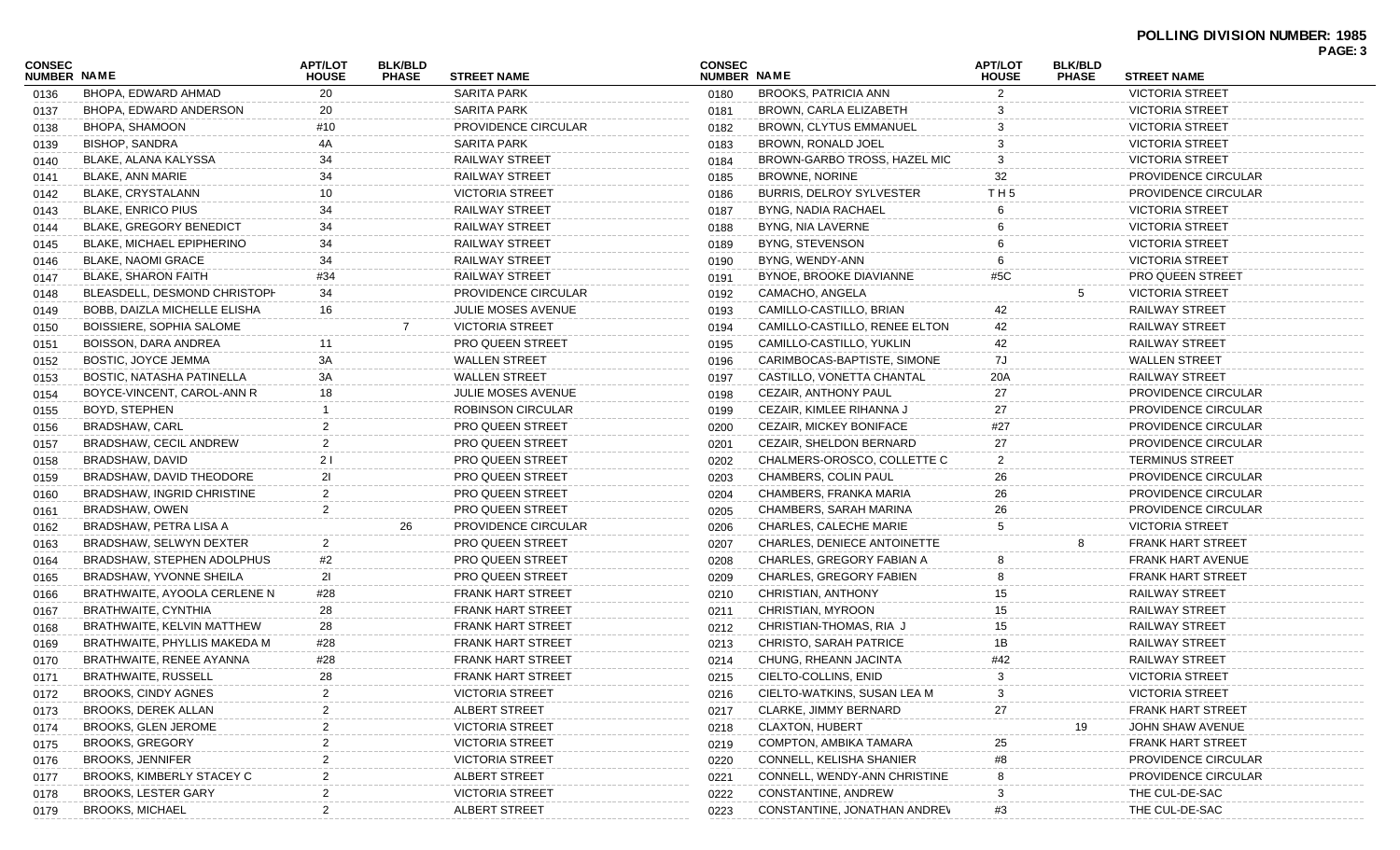| <b>CONSEC</b><br>NUMBER NAME |                                   | <b>APT/LOT</b><br><b>HOUSE</b> | <b>BLK/BLD</b><br><b>PHASE</b> | <b>STREET NAME</b>        | <b>CONSEC</b><br>NUMBER NAME |                                    | <b>APT/LOT</b><br><b>HOUSE</b> | <b>BLK/BLD</b><br><b>PHASE</b> | <b>STREET NAME</b>         |  |
|------------------------------|-----------------------------------|--------------------------------|--------------------------------|---------------------------|------------------------------|------------------------------------|--------------------------------|--------------------------------|----------------------------|--|
| 0136                         | BHOPA, EDWARD AHMAD               | 20                             |                                | <b>SARITA PARK</b>        | 0180                         | <b>BROOKS, PATRICIA ANN</b>        | 2                              |                                | <b>VICTORIA STREET</b>     |  |
| 0137                         | BHOPA, EDWARD ANDERSON            | 20                             |                                | <b>SARITA PARK</b>        | 0181                         | BROWN, CARLA ELIZABETH             |                                |                                | <b>VICTORIA STREET</b>     |  |
| 0138                         | BHOPA, SHAMOON                    | #10                            |                                | PROVIDENCE CIRCULAR       | 0182                         | BROWN, CLYTUS EMMANUEL             |                                |                                | <b>VICTORIA STREET</b>     |  |
| 0139                         | <b>BISHOP, SANDRA</b>             |                                |                                | <b>SARITA PARK</b>        | 0183                         | BROWN, RONALD JOEL                 |                                |                                | <b>VICTORIA STREET</b>     |  |
| 0140                         | BLAKE, ALANA KALYSSA              | 34                             |                                | <b>RAILWAY STREET</b>     | 0184                         | BROWN-GARBO TROSS, HAZEL MIC       | 3                              |                                | <b>VICTORIA STREET</b>     |  |
| 0141                         | BLAKE, ANN MARIE                  | 34                             |                                | <b>RAILWAY STREET</b>     | 0185                         | <b>BROWNE, NORINE</b>              | 32                             |                                | PROVIDENCE CIRCULAR        |  |
| 0142                         | BLAKE, CRYSTALANN                 | 10                             |                                | <b>VICTORIA STREET</b>    | 0186                         | <b>BURRIS, DELROY SYLVESTER</b>    | TH <sub>5</sub>                |                                | PROVIDENCE CIRCULAR        |  |
| 0143                         | <b>BLAKE, ENRICO PIUS</b>         | 34                             |                                | <b>RAILWAY STREET</b>     | 0187                         | <b>BYNG, NADIA RACHAEL</b>         |                                |                                | <b>VICTORIA STREET</b>     |  |
| 0144                         | <b>BLAKE, GREGORY BENEDICT</b>    | 34                             |                                | <b>RAILWAY STREET</b>     | 0188                         | BYNG, NIA LAVERNE                  |                                |                                | <b>VICTORIA STREET</b>     |  |
| 0145                         | <b>BLAKE, MICHAEL EPIPHERINO</b>  | 34                             |                                | <b>RAILWAY STREET</b>     | 0189                         | BYNG, STEVENSON                    |                                |                                | <b>VICTORIA STREET</b>     |  |
| 0146                         | <b>BLAKE, NAOMI GRACE</b>         | 34                             |                                | <b>RAILWAY STREET</b>     | 0190                         | BYNG, WENDY-ANN                    |                                |                                | <b>VICTORIA STREET</b>     |  |
| 0147                         | BLAKE, SHARON FAITH               | #34                            |                                | <b>RAILWAY STREET</b>     | 0191                         | BYNOE, BROOKE DIAVIANNE            | #5C                            |                                | <b>PRO QUEEN STREET</b>    |  |
| 0148                         | BLEASDELL, DESMOND CHRISTOPH      | 34                             |                                | PROVIDENCE CIRCULAR       | 0192                         | CAMACHO, ANGELA                    |                                |                                | <b>VICTORIA STREET</b>     |  |
| 0149                         | BOBB, DAIZLA MICHELLE ELISHA      | 16                             |                                | JULIE MOSES AVENUE        | 0193                         | CAMILLO-CASTILLO, BRIAN            | 42                             |                                | RAILWAY STREET             |  |
| 0150                         | BOISSIERE, SOPHIA SALOME          |                                |                                | <b>VICTORIA STREET</b>    | 0194                         | CAMILLO-CASTILLO, RENEE ELTON      | 42                             |                                | <b>RAILWAY STREET</b>      |  |
| 0151                         | BOISSON, DARA ANDREA              |                                |                                | <b>PRO QUEEN STREET</b>   | 0195                         | CAMILLO-CASTILLO, YUKLIN           | 42                             |                                | <b>RAILWAY STREET</b>      |  |
| 0152                         | BOSTIC, JOYCE JEMMA               | 3A                             |                                | <b>WALLEN STREET</b>      | 0196                         | CARIMBOCAS-BAPTISTE, SIMONE        | 7J                             |                                | <b>WALLEN STREET</b>       |  |
| 0153                         | BOSTIC, NATASHA PATINELLA         | ЗA                             |                                | <b>WALLEN STREET</b>      | 0197                         | CASTILLO, VONETTA CHANTAL          | 20A                            |                                | RAILWAY STREET             |  |
| 0154                         | BOYCE-VINCENT, CAROL-ANN R        | 18                             |                                | <b>JULIE MOSES AVENUE</b> | 0198                         | CEZAIR, ANTHONY PAUL               | 27                             |                                | PROVIDENCE CIRCULAR        |  |
| 0155                         | BOYD, STEPHEN                     |                                |                                | <b>ROBINSON CIRCULAR</b>  | 0199                         | CEZAIR, KIMLEE RIHANNA J           | 27                             |                                | <b>PROVIDENCE CIRCULAR</b> |  |
| 0156                         | <b>BRADSHAW, CARL</b>             |                                |                                | <b>PRO QUEEN STREET</b>   | 0200                         | CEZAIR, MICKEY BONIFACE            | #27                            |                                | <b>PROVIDENCE CIRCULAR</b> |  |
| 0157                         | BRADSHAW, CECIL ANDREW            |                                |                                | PRO QUEEN STREET          | 0201                         | CEZAIR, SHELDON BERNARD            | 27                             |                                | PROVIDENCE CIRCULAR        |  |
| 0158                         | BRADSHAW, DAVID                   | 21                             |                                | PRO QUEEN STREET          | 0202                         | CHALMERS-OROSCO, COLLETTE C        | $\overline{2}$                 |                                | <b>TERMINUS STREET</b>     |  |
| 0159                         | BRADSHAW, DAVID THEODORE          | 21                             |                                | <b>PRO QUEEN STREET</b>   | 0203                         | CHAMBERS, COLIN PAUL               | 26                             |                                | <b>PROVIDENCE CIRCULAR</b> |  |
| 0160                         | <b>BRADSHAW, INGRID CHRISTINE</b> |                                |                                | <b>PRO QUEEN STREET</b>   | 0204                         | CHAMBERS, FRANKA MARIA             | 26                             |                                | PROVIDENCE CIRCULAR        |  |
| 0161                         | BRADSHAW, OWEN                    |                                |                                | PRO QUEEN STREET          | 0205                         | CHAMBERS, SARAH MARINA             | 26                             |                                | <b>PROVIDENCE CIRCULAR</b> |  |
| 0162                         | BRADSHAW, PETRA LISA A            |                                | 26                             | PROVIDENCE CIRCULAR       | 0206                         | <b>CHARLES, CALECHE MARIE</b>      | 5                              |                                | <b>VICTORIA STREET</b>     |  |
| 0163                         | BRADSHAW, SELWYN DEXTER           |                                |                                | <b>PRO QUEEN STREET</b>   | 0207                         | <b>CHARLES, DENIECE ANTOINETTE</b> |                                |                                | <b>FRANK HART STREET</b>   |  |
| 0164                         | BRADSHAW, STEPHEN ADOLPHUS        | #2                             |                                | PRO QUEEN STREET          | 0208                         | CHARLES, GREGORY FABIAN A          |                                |                                | <b>FRANK HART AVENUE</b>   |  |
| 0165                         | <b>BRADSHAW, YVONNE SHEILA</b>    | 21                             |                                | PRO QUEEN STREET          | 0209                         | <b>CHARLES, GREGORY FABIEN</b>     |                                |                                | <b>FRANK HART STREET</b>   |  |
| 0166                         | BRATHWAITE, AYOOLA CERLENE N      | #28                            |                                | <b>FRANK HART STREET</b>  | 0210                         | CHRISTIAN, ANTHONY                 | 15                             |                                | RAILWAY STREET             |  |
| 0167                         | BRATHWAITE, CYNTHIA               | 28                             |                                | FRANK HART STREET         | 0211                         | CHRISTIAN, MYROON                  | 15                             |                                | RAILWAY STREET             |  |
| 0168                         | BRATHWAITE, KELVIN MATTHEW        | 28                             |                                | <b>FRANK HART STREET</b>  | 0212                         | CHRISTIAN-THOMAS, RIA J            | 15                             |                                | RAILWAY STREET             |  |
| 0169                         | BRATHWAITE, PHYLLIS MAKEDA M      | #28                            |                                | <b>FRANK HART STREET</b>  | 0213                         | <b>CHRISTO, SARAH PATRICE</b>      | 1В                             |                                | <b>RAILWAY STREET</b>      |  |
| 0170                         | BRATHWAITE, RENEE AYANNA          | #28                            |                                | <b>FRANK HART STREET</b>  | 0214                         | CHUNG, RHEANN JACINTA              | #42                            |                                | <b>RAILWAY STREET</b>      |  |
| 0171                         | BRATHWAITE, RUSSELL               | 28                             |                                | FRANK HART STREET         | 0215                         | CIELTO-COLLINS, ENID               |                                |                                | <b>VICTORIA STREET</b>     |  |
| 0172                         | <b>BROOKS, CINDY AGNES</b>        |                                |                                | <b>VICTORIA STREET</b>    | 0216                         | CIELTO-WATKINS, SUSAN LEA M        |                                |                                | <b>VICTORIA STREET</b>     |  |
| 0173                         | BROOKS, DEREK ALLAN               |                                |                                | ALBERT STREET             | 0217                         | <b>CLARKE, JIMMY BERNARD</b>       | 27                             |                                | <b>FRANK HART STREET</b>   |  |
| 0174                         | BROOKS, GLEN JEROME               |                                |                                | <b>VICTORIA STREET</b>    | 0218                         | <b>CLAXTON, HUBERT</b>             |                                |                                | JOHN SHAW AVENUE           |  |
| 0175                         | <b>BROOKS, GREGORY</b>            |                                |                                | <b>VICTORIA STREET</b>    | 0219                         | <b>COMPTON, AMBIKA TAMARA</b>      | 25                             |                                | <b>FRANK HART STREET</b>   |  |
| 0176                         | <b>BROOKS, JENNIFER</b>           |                                |                                | <b>VICTORIA STREET</b>    | 0220                         | CONNELL, KELISHA SHANIER           | #8                             |                                | <b>PROVIDENCE CIRCULAR</b> |  |
| 0177                         | <b>BROOKS, KIMBERLY STACEY C</b>  |                                |                                | ALBERT STREET             | 0221                         | CONNELL, WENDY-ANN CHRISTINE       |                                |                                | PROVIDENCE CIRCULAR        |  |
| 0178                         | <b>BROOKS, LESTER GARY</b>        |                                |                                | <b>VICTORIA STREET</b>    | 0222                         | CONSTANTINE, ANDREW                |                                |                                | THE CUL-DE-SAC             |  |
| 0179                         | <b>BROOKS, MICHAEL</b>            |                                |                                | ALBERT STREET             | 0223                         | CONSTANTINE, JONATHAN ANDREV       | #3                             |                                | THE CUL-DE-SAC             |  |
|                              |                                   |                                |                                |                           |                              |                                    |                                |                                |                            |  |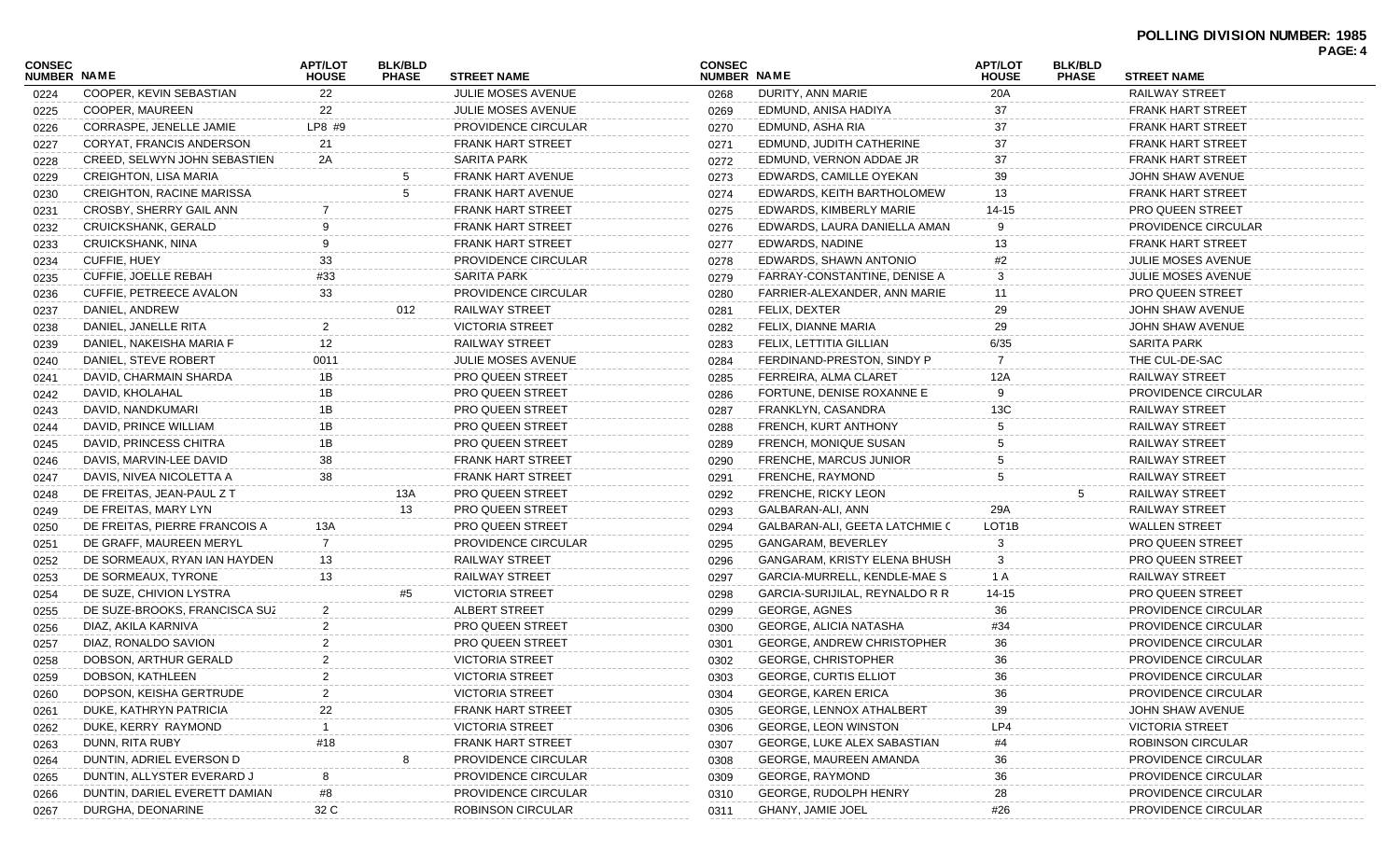## **POLLING DIVISION NUMBER: 1985 PAGE: 4**

| <b>CONSEC</b><br>NUMBER NAME |                                  | <b>APT/LOT</b><br><b>HOUSE</b> | <b>BLK/BLD</b><br><b>PHASE</b> | <b>STREET NAME</b>       | <b>CONSEC</b><br>NUMBER NAME |                                   | <b>APT/LOT</b><br><b>HOUSE</b> | <b>BLK/BLD</b><br><b>PHASE</b> | <b>STREET NAME</b>         | <u>ragl.</u> + |
|------------------------------|----------------------------------|--------------------------------|--------------------------------|--------------------------|------------------------------|-----------------------------------|--------------------------------|--------------------------------|----------------------------|----------------|
| 0224                         | COOPER, KEVIN SEBASTIAN          | 22                             |                                | JULIE MOSES AVENUE       | 0268                         | DURITY, ANN MARIE                 | 20A                            |                                | RAILWAY STREET             |                |
| 0225                         | COOPER, MAUREEN                  | 22                             |                                | JULIE MOSES AVENUE       | 0269                         | EDMUND, ANISA HADIYA              | 37                             |                                | <b>FRANK HART STREET</b>   |                |
| 0226                         | CORRASPE, JENELLE JAMIE          | LP8 #9                         |                                | PROVIDENCE CIRCULAR      | 0270                         | EDMUND, ASHA RIA                  | 37                             |                                | <b>FRANK HART STREET</b>   |                |
| 0227                         | CORYAT, FRANCIS ANDERSON         | 21                             |                                | <b>FRANK HART STREET</b> | 0271                         | EDMUND, JUDITH CATHERINE          | 37                             |                                | <b>FRANK HART STREET</b>   |                |
| 0228                         | CREED, SELWYN JOHN SEBASTIEN     | 2A                             |                                | <b>SARITA PARK</b>       | 0272                         | EDMUND, VERNON ADDAE JR           | 37                             |                                | <b>FRANK HART STREET</b>   |                |
| 0229                         | <b>CREIGHTON, LISA MARIA</b>     |                                |                                | FRANK HART AVENUE        | 0273                         | EDWARDS, CAMILLE OYEKAN           | 39                             |                                | JOHN SHAW AVENUE           |                |
| 0230                         | <b>CREIGHTON, RACINE MARISSA</b> |                                |                                | FRANK HART AVENUE        | 0274                         | EDWARDS, KEITH BARTHOLOMEW        | 13                             |                                | <b>FRANK HART STREET</b>   |                |
| 0231                         | CROSBY, SHERRY GAIL ANN          |                                |                                | <b>FRANK HART STREET</b> | 0275                         | EDWARDS, KIMBERLY MARIE           | 14-15                          |                                | <b>PRO QUEEN STREET</b>    |                |
| 0232                         | CRUICKSHANK, GERALD              |                                |                                | <b>FRANK HART STREET</b> | 0276                         | EDWARDS, LAURA DANIELLA AMAN      |                                |                                | <b>PROVIDENCE CIRCULAR</b> |                |
| 0233                         | CRUICKSHANK, NINA                |                                |                                | <b>FRANK HART STREET</b> | 0277                         | EDWARDS, NADINE                   | 13                             |                                | <b>FRANK HART STREET</b>   |                |
| 0234                         | <b>CUFFIE, HUEY</b>              | 33                             |                                | PROVIDENCE CIRCULAR      | 0278                         | EDWARDS, SHAWN ANTONIO            | #2                             |                                | <b>JULIE MOSES AVENUE</b>  |                |
| 0235                         | CUFFIE, JOELLE REBAH             | #33                            |                                | <b>SARITA PARK</b>       | 0279                         | FARRAY-CONSTANTINE, DENISE A      | 3                              |                                | <b>JULIE MOSES AVENUE</b>  |                |
| 0236                         | CUFFIE, PETREECE AVALON          | 33                             |                                | PROVIDENCE CIRCULAR      | 0280                         | FARRIER-ALEXANDER, ANN MARIE      | 11                             |                                | <b>PRO QUEEN STREET</b>    |                |
| 0237                         | DANIEL, ANDREW                   |                                | 012                            | RAILWAY STREET           | 0281                         | FELIX, DEXTER                     | 29                             |                                | JOHN SHAW AVENUE           |                |
| 0238                         | DANIEL, JANELLE RITA             |                                |                                | <b>VICTORIA STREET</b>   | 0282                         | FELIX, DIANNE MARIA               | 29                             |                                | JOHN SHAW AVENUE           |                |
| 0239                         | DANIEL, NAKEISHA MARIA F         | 12                             |                                | RAILWAY STREET           | 0283                         | FELIX, LETTITIA GILLIAN           | 6/35                           |                                | <b>SARITA PARK</b>         |                |
| 0240                         | DANIEL, STEVE ROBERT             | 0011                           |                                | JULIE MOSES AVENUE       | 0284                         | FERDINAND-PRESTON, SINDY P        |                                |                                | THE CUL-DE-SAC             |                |
| 0241                         | DAVID, CHARMAIN SHARDA           | 1B                             |                                | PRO QUEEN STREET         | 0285                         | FERREIRA, ALMA CLARET             | 12A                            |                                | <b>RAILWAY STREET</b>      |                |
| 0242                         | DAVID, KHOLAHAL                  | 1Β                             |                                | <b>PRO QUEEN STREET</b>  | 0286                         | FORTUNE, DENISE ROXANNE E         |                                |                                | PROVIDENCE CIRCULAR        |                |
| 0243                         | DAVID, NANDKUMARI                | 1B                             |                                | <b>PRO QUEEN STREET</b>  | 0287                         | FRANKLYN, CASANDRA                | 13C                            |                                | <b>RAILWAY STREET</b>      |                |
| 0244                         | DAVID, PRINCE WILLIAM            | 1B                             |                                | <b>PRO QUEEN STREET</b>  | 0288                         | FRENCH, KURT ANTHONY              |                                |                                | RAILWAY STREET             |                |
| 0245                         | DAVID, PRINCESS CHITRA           | 1B                             |                                | PRO QUEEN STREET         | 0289                         | FRENCH, MONIQUE SUSAN             |                                |                                | RAILWAY STREET             |                |
| 0246                         | DAVIS, MARVIN-LEE DAVID          | 38                             |                                | FRANK HART STREET        | 0290                         | FRENCHE, MARCUS JUNIOR            |                                |                                | RAILWAY STREET             |                |
| 0247                         | DAVIS, NIVEA NICOLETTA A         | 38                             |                                | <b>FRANK HART STREET</b> | 0291                         | FRENCHE, RAYMOND                  |                                |                                | RAILWAY STREET             |                |
| 0248                         | DE FREITAS, JEAN-PAUL Z T        |                                | 13A                            | <b>PRO QUEEN STREET</b>  | 0292                         | FRENCHE, RICKY LEON               |                                | 5                              | RAILWAY STREET             |                |
| 0249                         | DE FREITAS, MARY LYN             |                                | 13                             | <b>PRO QUEEN STREET</b>  | 0293                         | GALBARAN-ALI, ANN                 | 29A                            |                                | RAILWAY STREET             |                |
| 0250                         | DE FREITAS, PIERRE FRANCOIS A    | 13A                            |                                | PRO QUEEN STREET         | 0294                         | GALBARAN-ALI, GEETA LATCHMIE C    | LOT <sub>1</sub> B             |                                | <b>WALLEN STREET</b>       |                |
| 0251                         | DE GRAFF, MAUREEN MERYL          |                                |                                | PROVIDENCE CIRCULAR      | 0295                         | GANGARAM, BEVERLEY                | 3                              |                                | <b>PRO QUEEN STREET</b>    |                |
| 0252                         | DE SORMEAUX, RYAN IAN HAYDEN     | 13                             |                                | RAILWAY STREET           | 0296                         | GANGARAM, KRISTY ELENA BHUSH      | 3                              |                                | <b>PRO QUEEN STREET</b>    |                |
| 0253                         | DE SORMEAUX, TYRONE              | 13                             |                                | RAILWAY STREET           | 0297                         | GARCIA-MURRELL, KENDLE-MAE S      | 1 A                            |                                | RAILWAY STREET             |                |
| 0254                         | DE SUZE, CHIVION LYSTRA          |                                | #5                             | <b>VICTORIA STREET</b>   | 0298                         | GARCIA-SURIJILAL, REYNALDO R R    | 14-15                          |                                | PRO QUEEN STREET           |                |
| 0255                         | DE SUZE-BROOKS, FRANCISCA SUZ    |                                |                                | ALBERT STREET            | 0299                         | <b>GEORGE, AGNES</b>              | 36                             |                                | PROVIDENCE CIRCULAR        |                |
| 0256                         | DIAZ, AKILA KARNIVA              |                                |                                | <b>PRO QUEEN STREET</b>  | 0300                         | GEORGE, ALICIA NATASHA            | #34                            |                                | PROVIDENCE CIRCULAR        |                |
| 0257                         | DIAZ, RONALDO SAVION             |                                |                                | <b>PRO QUEEN STREET</b>  | 0301                         | <b>GEORGE, ANDREW CHRISTOPHER</b> | 36                             |                                | PROVIDENCE CIRCULAR        |                |
| 0258                         | DOBSON, ARTHUR GERALD            |                                |                                | <b>VICTORIA STREET</b>   | 0302                         | <b>GEORGE, CHRISTOPHER</b>        | 36                             |                                | PROVIDENCE CIRCULAR        |                |
| 0259                         | DOBSON, KATHLEEN                 |                                |                                | <b>VICTORIA STREET</b>   | 0303                         | <b>GEORGE, CURTIS ELLIOT</b>      | 36                             |                                | PROVIDENCE CIRCULAR        |                |
| 0260                         | DOPSON, KEISHA GERTRUDE          |                                |                                | <b>VICTORIA STREET</b>   | 0304                         | <b>GEORGE, KAREN ERICA</b>        | 36                             |                                | <b>PROVIDENCE CIRCULAR</b> |                |
| 0261                         | DUKE, KATHRYN PATRICIA           | 22                             |                                | <b>FRANK HART STREET</b> | 0305                         | <b>GEORGE, LENNOX ATHALBERT</b>   | 39                             |                                | JOHN SHAW AVENUE           |                |
| 0262                         | DUKE, KERRY RAYMOND              |                                |                                | <b>VICTORIA STREET</b>   | 0306                         | <b>GEORGE, LEON WINSTON</b>       | LP4                            |                                | <b>VICTORIA STREET</b>     |                |
| 0263                         | DUNN, RITA RUBY                  | #18                            |                                | <b>FRANK HART STREET</b> | 0307                         | GEORGE, LUKE ALEX SABASTIAN       |                                |                                | <b>ROBINSON CIRCULAR</b>   |                |
| 0264                         | DUNTIN, ADRIEL EVERSON D         |                                |                                | PROVIDENCE CIRCULAR      | 0308                         | GEORGE, MAUREEN AMANDA            | 36                             |                                | PROVIDENCE CIRCULAR        |                |
| 0265                         | DUNTIN, ALLYSTER EVERARD J       |                                |                                | PROVIDENCE CIRCULAR      | 0309                         | GEORGE, RAYMOND                   | 36                             |                                | <b>PROVIDENCE CIRCULAR</b> |                |
| 0266                         | DUNTIN, DARIEL EVERETT DAMIAN    | #8                             |                                | PROVIDENCE CIRCULAR      | 0310                         | <b>GEORGE, RUDOLPH HENRY</b>      | 28                             |                                | <b>PROVIDENCE CIRCULAR</b> |                |
| 0267                         | DURGHA, DEONARINE                | 32 C                           |                                | ROBINSON CIRCULAR        | 0311                         | <b>GHANY, JAMIE JOEL</b>          | #26                            |                                | PROVIDENCE CIRCULAR        |                |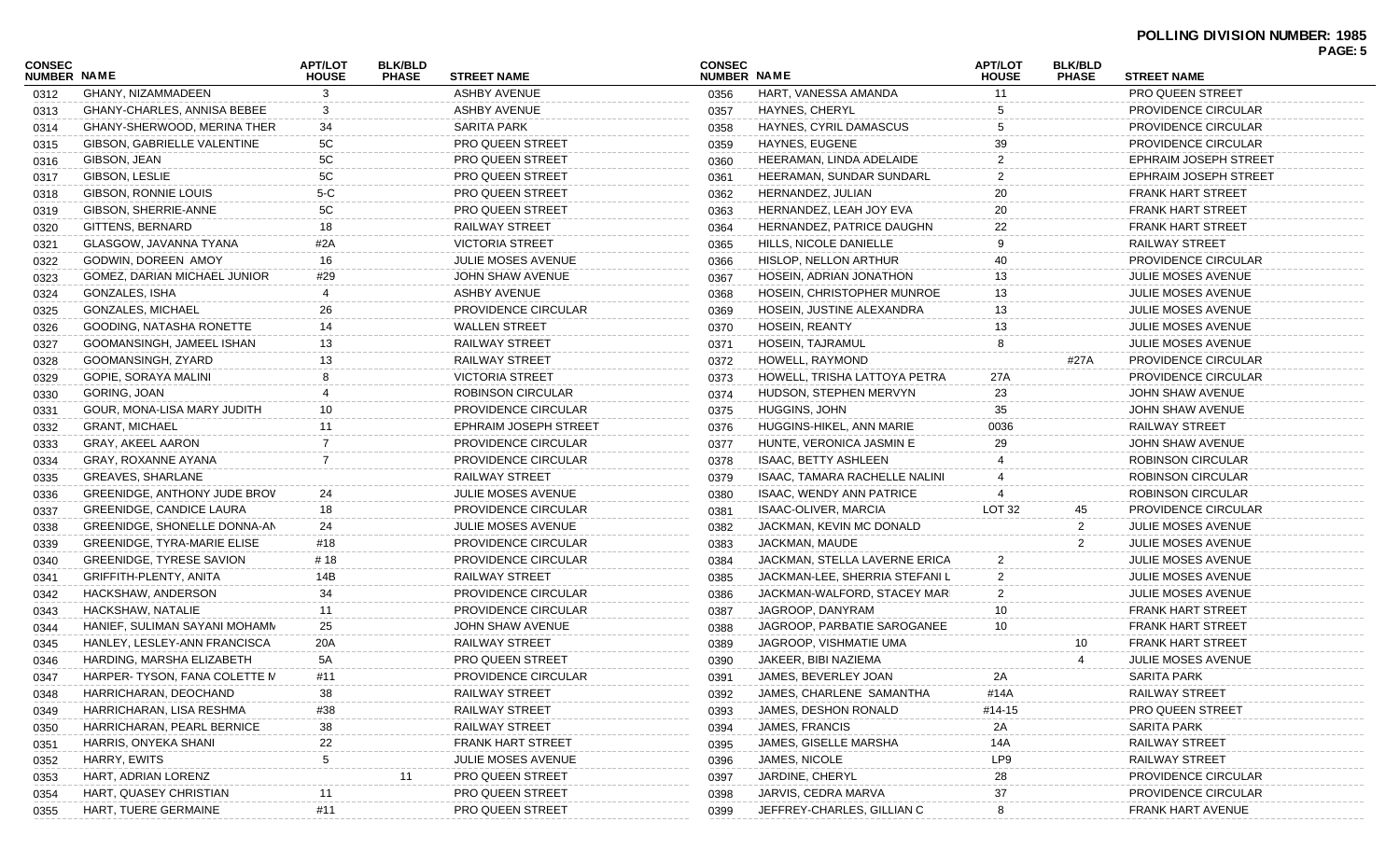| CONSEC<br><b>NUMBER NAME</b> |                                                   | <b>APT/LOT</b><br><b>HOUSE</b> | <b>BLK/BLD</b><br><b>PHASE</b> | <b>STREET NAME</b>         | <b>CONSEC</b><br><b>NUMBER NAME</b> |                                 | <b>APT/LOT</b><br><b>HOUSE</b> | <b>BLK/BLD</b><br><b>PHASE</b> | <b>STREET NAME</b>        | PAGE: 5 |
|------------------------------|---------------------------------------------------|--------------------------------|--------------------------------|----------------------------|-------------------------------------|---------------------------------|--------------------------------|--------------------------------|---------------------------|---------|
| 0312                         | GHANY, NIZAMMADEEN                                | 3                              |                                | <b>ASHBY AVENUE</b>        | 0356                                | HART, VANESSA AMANDA            | 11                             |                                | <b>PRO QUEEN STREET</b>   |         |
| 0313                         | GHANY-CHARLES, ANNISA BEBEE                       | 3                              |                                | <b>ASHBY AVENUE</b>        | 0357                                | HAYNES, CHERYL                  |                                |                                | PROVIDENCE CIRCULAR       |         |
| 0314                         | GHANY-SHERWOOD, MERINA THER                       | 34                             |                                | SARITA PARK                | 0358                                | HAYNES, CYRIL DAMASCUS          |                                |                                | PROVIDENCE CIRCULAR       |         |
| 0315                         | GIBSON, GABRIELLE VALENTINE                       | 5C                             |                                | <b>PRO QUEEN STREET</b>    | 0359                                | HAYNES, EUGENE                  | 39                             |                                | PROVIDENCE CIRCULAR       |         |
| 0316                         | GIBSON, JEAN                                      | 5C                             |                                | <b>PRO QUEEN STREET</b>    | 0360                                | HEERAMAN, LINDA ADELAIDE        |                                |                                | EPHRAIM JOSEPH STREET     |         |
| 0317                         | GIBSON, LESLIE                                    | 5C                             |                                | PRO QUEEN STREET           | 0361                                | HEERAMAN, SUNDAR SUNDARL        |                                |                                | EPHRAIM JOSEPH STREET     |         |
| 0318                         | GIBSON, RONNIE LOUIS                              | $5-C$                          |                                | <b>PRO QUEEN STREET</b>    | 0362                                | HERNANDEZ, JULIAN               | 20                             |                                | FRANK HART STREET         |         |
| 0319                         | GIBSON, SHERRIE-ANNE                              | 5C                             |                                | PRO QUEEN STREET           | 0363                                | HERNANDEZ, LEAH JOY EVA         | 20                             |                                | FRANK HART STREET         |         |
| 0320                         | GITTENS, BERNARD                                  | 18                             |                                | RAILWAY STREET             | 0364                                | HERNANDEZ, PATRICE DAUGHN       | 22                             |                                | FRANK HART STREET         |         |
| 0321                         | GLASGOW, JAVANNA TYANA                            | #2A                            |                                | <b>VICTORIA STREET</b>     | 0365                                | HILLS, NICOLE DANIELLE          |                                |                                | <b>RAILWAY STREET</b>     |         |
| 0322                         | GODWIN, DOREEN AMOY                               | 16                             |                                | <b>JULIE MOSES AVENUE</b>  | 0366                                | HISLOP, NELLON ARTHUR           | 40                             |                                | PROVIDENCE CIRCULAR       |         |
| 0323                         | GOMEZ, DARIAN MICHAEL JUNIOR                      | #29                            |                                | JOHN SHAW AVENUE           | 0367                                | HOSEIN, ADRIAN JONATHON         | 13                             |                                | <b>JULIE MOSES AVENUE</b> |         |
| 0324                         | GONZALES, ISHA                                    |                                |                                | ASHBY AVENUE               | 0368                                | HOSEIN, CHRISTOPHER MUNROE      | 13                             |                                | <b>JULIE MOSES AVENUE</b> |         |
| 0325                         | GONZALES, MICHAEL                                 | 26                             |                                | <b>PROVIDENCE CIRCULAR</b> | 0369                                | HOSEIN, JUSTINE ALEXANDRA       | 13                             |                                | <b>JULIE MOSES AVENUE</b> |         |
| 0326                         | GOODING, NATASHA RONETTE                          | 14                             |                                | <b>WALLEN STREET</b>       | 0370                                | HOSEIN, REANTY                  | 13                             |                                | <b>JULIE MOSES AVENUE</b> |         |
| 0327                         | GOOMANSINGH, JAMEEL ISHAN                         | 13                             |                                | RAILWAY STREET             | 0371                                | HOSEIN, TAJRAMUL                |                                |                                | <b>JULIE MOSES AVENUE</b> |         |
|                              | GOOMANSINGH, ZYARD                                | 13                             |                                | RAILWAY STREET             | 0372                                | HOWELL, RAYMOND                 |                                | #27A                           | PROVIDENCE CIRCULAR       |         |
| 0328                         | GOPIE, SORAYA MALINI                              | 8                              |                                | <b>VICTORIA STREET</b>     | 0373                                | HOWELL, TRISHA LATTOYA PETRA    | 27A                            |                                | PROVIDENCE CIRCULAR       |         |
| 0329                         | GORING, JOAN                                      |                                |                                | ROBINSON CIRCULAR          |                                     | HUDSON, STEPHEN MERVYN          | 23                             |                                | JOHN SHAW AVENUE          |         |
| 0330                         | GOUR, MONA-LISA MARY JUDITH                       | 10                             |                                | <b>PROVIDENCE CIRCULAR</b> | 0374                                | HUGGINS, JOHN                   | 35                             |                                | JOHN SHAW AVENUE          |         |
| 0331                         |                                                   |                                |                                | EPHRAIM JOSEPH STREET      | 0375                                |                                 | 0036                           |                                | RAILWAY STREET            |         |
| 0332                         | <b>GRANT, MICHAEL</b><br><b>GRAY, AKEEL AARON</b> | 11<br>-7                       |                                |                            | 0376                                | HUGGINS-HIKEL, ANN MARIE        | 29                             |                                |                           |         |
| 0333                         |                                                   | 7                              |                                | PROVIDENCE CIRCULAR        | 0377                                | HUNTE, VERONICA JASMIN E        |                                |                                | JOHN SHAW AVENUE          |         |
| 0334                         | GRAY, ROXANNE AYANA                               |                                |                                | PROVIDENCE CIRCULAR        | 0378                                | ISAAC, BETTY ASHLEEN            |                                |                                | ROBINSON CIRCULAR         |         |
| 0335                         | GREAVES, SHARLANE                                 |                                |                                | RAILWAY STREET             | 0379                                | ISAAC, TAMARA RACHELLE NALINI   |                                |                                | ROBINSON CIRCULAR         |         |
| 0336                         | GREENIDGE, ANTHONY JUDE BROV                      | 24                             |                                | <b>JULIE MOSES AVENUE</b>  | 0380                                | <b>ISAAC, WENDY ANN PATRICE</b> |                                |                                | ROBINSON CIRCULAR         |         |
| 0337                         | <b>GREENIDGE, CANDICE LAURA</b>                   | 18                             |                                | PROVIDENCE CIRCULAR        | 0381                                | ISAAC-OLIVER, MARCIA            | LOT <sub>32</sub>              | 45                             | PROVIDENCE CIRCULAR       |         |
| 0338                         | GREENIDGE, SHONELLE DONNA-AN                      | 24                             |                                | <b>JULIE MOSES AVENUE</b>  | 0382                                | JACKMAN, KEVIN MC DONALD        |                                | 2                              | <b>JULIE MOSES AVENUE</b> |         |
| 0339                         | <b>GREENIDGE, TYRA-MARIE ELISE</b>                | #18                            |                                | PROVIDENCE CIRCULAR        | 0383                                | JACKMAN, MAUDE                  |                                | 2                              | <b>JULIE MOSES AVENUE</b> |         |
| 0340                         | <b>GREENIDGE, TYRESE SAVION</b>                   | # 18                           |                                | PROVIDENCE CIRCULAR        | 0384                                | JACKMAN, STELLA LAVERNE ERICA   | 2                              |                                | <b>JULIE MOSES AVENUE</b> |         |
| 0341                         | GRIFFITH-PLENTY, ANITA                            | 14B                            |                                | RAILWAY STREET             | 0385                                | JACKMAN-LEE, SHERRIA STEFANI L  | $\overline{2}$                 |                                | <b>JULIE MOSES AVENUE</b> |         |
| 0342                         | HACKSHAW, ANDERSON                                | 34                             |                                | <b>PROVIDENCE CIRCULAR</b> | 0386                                | JACKMAN-WALFORD, STACEY MARI    | 2                              |                                | <b>JULIE MOSES AVENUE</b> |         |
| 0343                         | HACKSHAW, NATALIE                                 | 11                             |                                | <b>PROVIDENCE CIRCULAR</b> | 0387                                | JAGROOP, DANYRAM                | 10                             |                                | <b>FRANK HART STREET</b>  |         |
| 0344                         | HANIEF, SULIMAN SAYANI MOHAMM                     | 25                             |                                | JOHN SHAW AVENUE           | 0388                                | JAGROOP, PARBATIE SAROGANEE     | 10                             |                                | FRANK HART STREET         |         |
| 0345                         | HANLEY, LESLEY-ANN FRANCISCA                      | 20A                            |                                | RAILWAY STREET             | 0389                                | JAGROOP, VISHMATIE UMA          |                                | 10                             | FRANK HART STREET         |         |
| 0346                         | HARDING, MARSHA ELIZABETH                         | 5A                             |                                | PRO QUEEN STREET           | 0390                                | JAKEER, BIBI NAZIEMA            |                                | 4                              | JULIE MOSES AVENUE        |         |
| 0347                         | HARPER-TYSON, FANA COLETTE M                      | #11                            |                                | PROVIDENCE CIRCULAR        | 0391                                | JAMES, BEVERLEY JOAN            | 2A                             |                                | <b>SARITA PARK</b>        |         |
| 0348                         | HARRICHARAN, DEOCHAND                             | 38                             |                                | RAILWAY STREET             | 0392                                | JAMES, CHARLENE SAMANTHA        | #14A                           |                                | <b>RAILWAY STREET</b>     |         |
| 0349                         | HARRICHARAN, LISA RESHMA                          | #38                            |                                | RAILWAY STREET             | 0393                                | JAMES, DESHON RONALD            | #14-15                         |                                | PRO QUEEN STREET          |         |
| 0350                         | HARRICHARAN, PEARL BERNICE                        | 38                             |                                | RAILWAY STREET             | 0394                                | JAMES, FRANCIS                  | 2A                             |                                | <b>SARITA PARK</b>        |         |
| 0351                         | HARRIS, ONYEKA SHANI                              | 22                             |                                | <b>FRANK HART STREET</b>   | 0395                                | JAMES, GISELLE MARSHA           | 14A                            |                                | <b>RAILWAY STREET</b>     |         |
| 0352                         | HARRY, EWITS                                      |                                |                                | JULIE MOSES AVENUE         | 0396                                | JAMES, NICOLE                   | LP9                            |                                | RAILWAY STREET            |         |
| 0353                         | HART, ADRIAN LORENZ                               |                                | 11                             | PRO QUEEN STREET           | 0397                                | JARDINE, CHERYL                 | 28                             |                                | PROVIDENCE CIRCULAR       |         |
| 0354                         | HART, QUASEY CHRISTIAN                            | 11                             |                                | <b>PRO QUEEN STREET</b>    | 0398                                | JARVIS, CEDRA MARVA             | 37                             |                                | PROVIDENCE CIRCULAR       |         |
| 0355                         | HART, TUERE GERMAINE                              | #11                            |                                | PRO QUEEN STREET           | 0399                                | JEFFREY-CHARLES, GILLIAN C      | 8                              |                                | FRANK HART AVENUE         |         |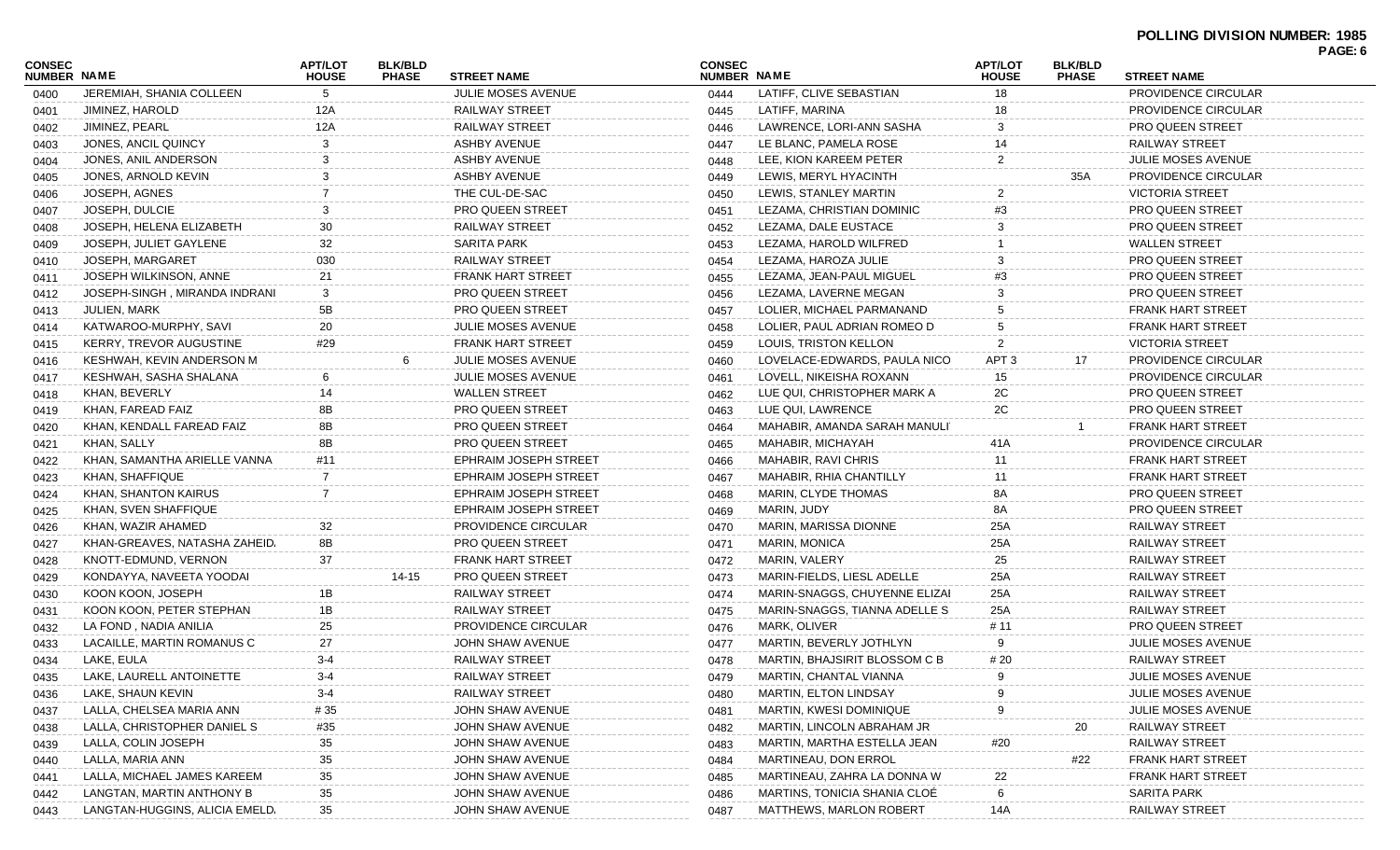| <b>CONSEC</b>      |                                | <b>APT/LOT</b> | <b>BLK/BLD</b> |                              | <b>CONSEC</b> |                                | <b>APT/LOT</b>   | <b>BLK/BLD</b> |                                                | PAGE: 6 |
|--------------------|--------------------------------|----------------|----------------|------------------------------|---------------|--------------------------------|------------------|----------------|------------------------------------------------|---------|
| <b>NUMBER NAME</b> |                                | <b>HOUSE</b>   | <b>PHASE</b>   | <b>STREET NAME</b>           | NUMBER NAME   |                                | <b>HOUSE</b>     | <b>PHASE</b>   | <b>STREET NAME</b>                             |         |
| 0400               | JEREMIAH, SHANIA COLLEEN       | 5              |                | <b>JULIE MOSES AVENUE</b>    | 0444          | LATIFF, CLIVE SEBASTIAN        | 18               |                | PROVIDENCE CIRCULAR                            |         |
| 0401               | JIMINEZ, HAROLD                | 12A            |                | <b>RAILWAY STREET</b>        | 0445          | LATIFF, MARINA                 | 18               |                | PROVIDENCE CIRCULAR                            |         |
| 0402               | JIMINEZ, PEARL                 | 12A            |                | <b>RAILWAY STREET</b>        | 0446          | LAWRENCE, LORI-ANN SASHA       | 3                |                | <b>PRO QUEEN STREET</b>                        |         |
| 0403               | JONES, ANCIL QUINCY            | 3              |                | <b>ASHBY AVENUE</b>          | 0447          | LE BLANC, PAMELA ROSE          |                  |                | <b>RAILWAY STREET</b>                          |         |
| 0404               | JONES, ANIL ANDERSON           |                |                | <b>ASHBY AVENUE</b>          | 0448          | LEE, KION KAREEM PETER         | 2                |                | JULIE MOSES AVENUE                             |         |
| 0405               | JONES, ARNOLD KEVIN            | 3              |                | <b>ASHBY AVENUE</b>          | 0449          | LEWIS, MERYL HYACINTH          |                  | 35A            | <b>PROVIDENCE CIRCULAR</b>                     |         |
| 0406               | JOSEPH, AGNES                  |                |                | THE CUL-DE-SAC               | 0450          | LEWIS, STANLEY MARTIN          | 2                |                | <b>VICTORIA STREET</b>                         |         |
| 0407               | JOSEPH, DULCIE                 |                |                | PRO QUEEN STREET             | 0451          | LEZAMA, CHRISTIAN DOMINIC      | #3               |                | <b>PRO QUEEN STREET</b>                        |         |
| 0408               | JOSEPH, HELENA ELIZABETH       | 30             |                | RAILWAY STREET               | 0452          | LEZAMA, DALE EUSTACE           | 3                |                | <b>PRO QUEEN STREET</b>                        |         |
| 0409               | JOSEPH, JULIET GAYLENE         | 32             |                | <b>SARITA PARK</b>           | 0453          | LEZAMA, HAROLD WILFRED         |                  |                | <b>WALLEN STREET</b>                           |         |
| 0410               | JOSEPH, MARGARET               | 030            |                | <b>RAILWAY STREET</b>        | 0454          | LEZAMA, HAROZA JULIE           |                  |                | <b>PRO QUEEN STREET</b>                        |         |
| 0411               | JOSEPH WILKINSON, ANNE         | 21             |                | <b>FRANK HART STREET</b>     | 0455          | LEZAMA, JEAN-PAUL MIGUEL       | #3               |                | <b>PRO QUEEN STREET</b>                        |         |
| 0412               | JOSEPH-SINGH, MIRANDA INDRANI  | 3              |                | <b>PRO QUEEN STREET</b>      | 0456          | LEZAMA, LAVERNE MEGAN          |                  |                | <b>PRO QUEEN STREET</b>                        |         |
| 0413               | JULIEN, MARK                   | 5B             |                | <b>PRO QUEEN STREET</b>      | 0457          | LOLIER, MICHAEL PARMANAND      |                  |                | <b>FRANK HART STREET</b>                       |         |
| 0414               | KATWAROO-MURPHY, SAVI          | 20             |                | <b>JULIE MOSES AVENUE</b>    | 0458          | LOLIER, PAUL ADRIAN ROMEO D    |                  |                | <b>FRANK HART STREET</b>                       |         |
| 0415               | KERRY, TREVOR AUGUSTINE        | #29            |                | <b>FRANK HART STREET</b>     | 0459          | LOUIS, TRISTON KELLON          | 2                |                | <b>VICTORIA STREET</b>                         |         |
| 0416               | KESHWAH, KEVIN ANDERSON M      |                |                | <b>JULIE MOSES AVENUE</b>    | 0460          | LOVELACE-EDWARDS, PAULA NICO   | APT <sub>3</sub> | 17             | PROVIDENCE CIRCULAR                            |         |
| 0417               | KESHWAH, SASHA SHALANA         | 6              |                | <b>JULIE MOSES AVENUE</b>    | 0461          | LOVELL, NIKEISHA ROXANN        | 15               |                | <b>PROVIDENCE CIRCULAR</b>                     |         |
| 0418               | KHAN, BEVERLY                  | 14             |                | <b>WALLEN STREET</b>         | 0462          | LUE QUI, CHRISTOPHER MARK A    | 2C               |                | <b>PRO QUEEN STREET</b>                        |         |
| 0419               | KHAN, FAREAD FAIZ              | 8Β             |                | PRO QUEEN STREET             | 0463          | LUE QUI, LAWRENCE              | 2C               |                | <b>PRO QUEEN STREET</b>                        |         |
| 0420               | KHAN, KENDALL FAREAD FAIZ      | 8B             |                | <b>PRO QUEEN STREET</b>      | 0464          | MAHABIR, AMANDA SARAH MANULI   |                  |                | <b>FRANK HART STREET</b>                       |         |
| 0421               | KHAN, SALLY                    | 8B             |                | <b>PRO QUEEN STREET</b>      | 0465          | MAHABIR, MICHAYAH              | 41 A             |                | PROVIDENCE CIRCULAR                            |         |
| 0422               | KHAN, SAMANTHA ARIELLE VANNA   | #11            |                | <b>EPHRAIM JOSEPH STREET</b> | 0466          | MAHABIR, RAVI CHRIS            | 11               |                | <b>FRANK HART STREET</b>                       |         |
| 0423               | KHAN, SHAFFIQUE                | 7              |                | <b>EPHRAIM JOSEPH STREET</b> | 0467          | MAHABIR, RHIA CHANTILLY        | 11               |                | <b>FRANK HART STREET</b>                       |         |
| 0424               | KHAN, SHANTON KAIRUS           | $\overline{7}$ |                | <b>EPHRAIM JOSEPH STREET</b> | 0468          | MARIN, CLYDE THOMAS            | 8A               |                | <b>PRO QUEEN STREET</b>                        |         |
| 0425               | KHAN, SVEN SHAFFIQUE           |                |                | <b>EPHRAIM JOSEPH STREET</b> | 0469          | MARIN, JUDY                    | 8A               |                | PRO QUEEN STREET                               |         |
| 0426               | KHAN, WAZIR AHAMED             | 32             |                | <b>PROVIDENCE CIRCULAR</b>   | 0470          | MARIN, MARISSA DIONNE          | 25A              |                | RAILWAY STREET                                 |         |
| 0427               | KHAN-GREAVES, NATASHA ZAHEID.  | 8B             |                | <b>PRO QUEEN STREET</b>      | 0471          | <b>MARIN, MONICA</b>           | 25A              |                | RAILWAY STREET                                 |         |
| 0428               | KNOTT-EDMUND, VERNON           | 37             |                | <b>FRANK HART STREET</b>     | 0472          | MARIN, VALERY                  | 25               |                | RAILWAY STREET                                 |         |
| 0429               | KONDAYYA, NAVEETA YOODAI       |                | 14-15          | <b>PRO QUEEN STREET</b>      | 0473          | MARIN-FIELDS, LIESL ADELLE     | 25A              |                | RAILWAY STREET                                 |         |
| 0430               | KOON KOON, JOSEPH              | 1B             |                | <b>RAILWAY STREET</b>        | 0474          | MARIN-SNAGGS, CHUYENNE ELIZAI  | 25A              |                | RAILWAY STREET                                 |         |
| 0431               | KOON KOON, PETER STEPHAN       | 1B             |                | RAILWAY STREET               | 0475          | MARIN-SNAGGS, TIANNA ADELLE S  | 25A              |                | RAILWAY STREET                                 |         |
| 0432               | LA FOND, NADIA ANILIA          | 25             |                | PROVIDENCE CIRCULAR          | 0476          | MARK, OLIVER                   | # 11             |                | <b>PRO QUEEN STREET</b>                        |         |
| 0433               | LACAILLE, MARTIN ROMANUS C     | 27             |                | JOHN SHAW AVENUE             | 0477          | MARTIN, BEVERLY JOTHLYN        | 9                |                | <b>JULIE MOSES AVENUE</b>                      |         |
| 0434               | LAKE, EULA                     | 3-4            |                | RAILWAY STREET               | 0478          | MARTIN, BHAJSIRIT BLOSSOM C B  | # 20             |                | <b>RAILWAY STREET</b>                          |         |
| 0435               | LAKE, LAURELL ANTOINETTE       | $3 - 4$        |                | RAILWAY STREET               | 0479          | MARTIN, CHANTAL VIANNA         | 9                |                | JULIE MOSES AVENUE                             |         |
| 0436               | LAKE, SHAUN KEVIN              | 3-4            |                | RAILWAY STREET               | 0480          | <b>MARTIN, ELTON LINDSAY</b>   |                  |                | JULIE MOSES AVENUE                             |         |
| 0437               | LALLA, CHELSEA MARIA ANN       | # 35           |                | JOHN SHAW AVENUE             | 0481          | <b>MARTIN, KWESI DOMINIQUE</b> |                  |                | JULIE MOSES AVENUE                             |         |
|                    | LALLA, CHRISTOPHER DANIEL S    | #35            |                | JOHN SHAW AVENUE             | 0482          | MARTIN, LINCOLN ABRAHAM JR     |                  | 20             | RAILWAY STREET                                 |         |
| 0438               | LALLA, COLIN JOSEPH            |                |                | JOHN SHAW AVENUE             |               | MARTIN, MARTHA ESTELLA JEAN    |                  |                | RAILWAY STREET                                 |         |
| 0439               | LALLA, MARIA ANN               | 35             |                | JOHN SHAW AVENUE             | 0483          | MARTINEAU, DON ERROL           | #20              | #22            | <b>FRANK HART STREET</b>                       |         |
| 0440               | LALLA, MICHAEL JAMES KAREEM    | 35             |                | JOHN SHAW AVENUE             | 0484          | MARTINEAU, ZAHRA LA DONNA W    |                  |                |                                                |         |
| 0441               | LANGTAN, MARTIN ANTHONY B      | 35             |                |                              | 0485          | MARTINS, TONICIA SHANIA CLOE   | 22               |                | <b>FRANK HART STREET</b><br><b>SARITA PARK</b> |         |
| 0442               |                                | 35             |                | JOHN SHAW AVENUE             | 0486          |                                | 6                |                |                                                |         |
| 0443               | LANGTAN-HUGGINS, ALICIA EMELD. | 35             |                | JOHN SHAW AVENUE             | 0487          | <b>MATTHEWS, MARLON ROBERT</b> | 14A              |                | RAILWAY STREET                                 |         |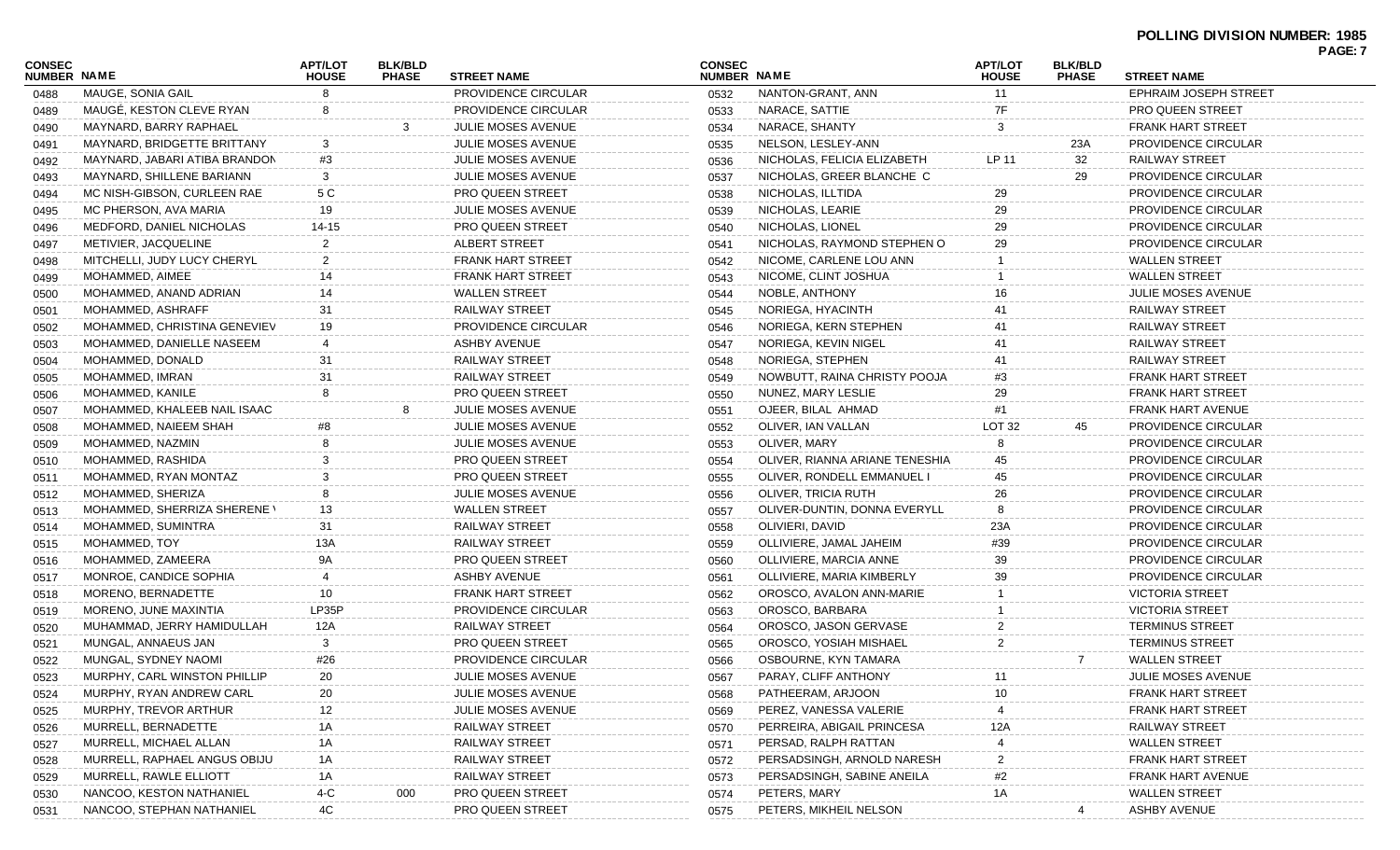| CONSEC<br>NUMBER NAME |                                     | <b>APT/LOT</b><br><b>HOUSE</b> | <b>BLK/BLD</b><br><b>PHASE</b> | <b>STREET NAME</b>         | <b>CONSEC</b><br>NUMBER NAME |                                                     | <b>APT/LOT</b><br><b>HOUSE</b> | <b>BLK/BLD</b><br><b>PHASE</b> | <b>STREET NAME</b>           | PAGE: 7 |
|-----------------------|-------------------------------------|--------------------------------|--------------------------------|----------------------------|------------------------------|-----------------------------------------------------|--------------------------------|--------------------------------|------------------------------|---------|
| 0488                  | MAUGE, SONIA GAIL                   | 8                              |                                | PROVIDENCE CIRCULAR        | 0532                         | NANTON-GRANT, ANN                                   | 11                             |                                | <b>EPHRAIM JOSEPH STREET</b> |         |
| 0489                  | MAUGÉ, KESTON CLEVE RYAN            | 8                              |                                | <b>PROVIDENCE CIRCULAR</b> | 0533                         | NARACE, SATTIE                                      | 7F                             |                                | PRO QUEEN STREET             |         |
| 0490                  | MAYNARD, BARRY RAPHAEL              |                                |                                | <b>JULIE MOSES AVENUE</b>  | 0534                         | NARACE, SHANTY                                      | 3                              |                                | <b>FRANK HART STREET</b>     |         |
| 0491                  | MAYNARD, BRIDGETTE BRITTANY         | 3                              |                                | <b>JULIE MOSES AVENUE</b>  | 0535                         | NELSON, LESLEY-ANN                                  |                                | 23A                            | PROVIDENCE CIRCULAR          |         |
| 0492                  | MAYNARD, JABARI ATIBA BRANDON       | #3                             |                                | <b>JULIE MOSES AVENUE</b>  | 0536                         | NICHOLAS, FELICIA ELIZABETH                         | LP 11                          | 32                             | RAILWAY STREET               |         |
| 0493                  | MAYNARD, SHILLENE BARIANN           | 3                              |                                | <b>JULIE MOSES AVENUE</b>  | 0537                         | NICHOLAS, GREER BLANCHE C                           |                                | 29                             | PROVIDENCE CIRCULAR          |         |
| 0494                  | MC NISH-GIBSON, CURLEEN RAE         | 5 C                            |                                | <b>PRO QUEEN STREET</b>    | 0538                         | NICHOLAS, ILLTIDA                                   | 29                             |                                | PROVIDENCE CIRCULAR          |         |
| 0495                  | MC PHERSON, AVA MARIA               | 19                             |                                | <b>JULIE MOSES AVENUE</b>  | 0539                         | NICHOLAS, LEARIE                                    | 29                             |                                | PROVIDENCE CIRCULAR          |         |
| 0496                  | MEDFORD, DANIEL NICHOLAS            | 14-15                          |                                | <b>PRO QUEEN STREET</b>    | 0540                         | NICHOLAS, LIONEL                                    | 29                             |                                | <b>PROVIDENCE CIRCULAR</b>   |         |
| 0497                  | METIVIER, JACQUELINE                | $\overline{2}$                 |                                | ALBERT STREET              | 0541                         | NICHOLAS, RAYMOND STEPHEN O                         | 29                             |                                | PROVIDENCE CIRCULAR          |         |
| 0498                  | MITCHELLI, JUDY LUCY CHERYL         | $\overline{2}$                 |                                | <b>FRANK HART STREET</b>   | 0542                         | NICOME, CARLENE LOU ANN                             |                                |                                | <b>WALLEN STREET</b>         |         |
| 0499                  | MOHAMMED, AIMEE                     | 14                             |                                | <b>FRANK HART STREET</b>   | 0543                         | NICOME, CLINT JOSHUA                                |                                |                                | <b>WALLEN STREET</b>         |         |
| 0500                  | MOHAMMED, ANAND ADRIAN              | 14                             |                                | <b>WALLEN STREET</b>       | 0544                         | NOBLE, ANTHONY                                      |                                |                                | <b>JULIE MOSES AVENUE</b>    |         |
| 0501                  | MOHAMMED, ASHRAFF                   | 31                             |                                | RAILWAY STREET             | 0545                         | NORIEGA, HYACINTH                                   | 41                             |                                | <b>RAILWAY STREET</b>        |         |
| 0502                  | MOHAMMED, CHRISTINA GENEVIEV        | 19                             |                                | <b>PROVIDENCE CIRCULAR</b> | 0546                         | NORIEGA, KERN STEPHEN                               | 41                             |                                | <b>RAILWAY STREET</b>        |         |
| 0503                  | MOHAMMED, DANIELLE NASEEM           |                                |                                | <b>ASHBY AVENUE</b>        | 0547                         | NORIEGA, KEVIN NIGEL                                |                                |                                | RAILWAY STREET               |         |
| 0504                  | MOHAMMED, DONALD                    | 31                             |                                | RAILWAY STREET             | 0548                         | NORIEGA, STEPHEN                                    | 41                             |                                | <b>RAILWAY STREET</b>        |         |
| 0505                  | MOHAMMED, IMRAN                     | 31                             |                                | RAILWAY STREET             | 0549                         | NOWBUTT, RAINA CHRISTY POOJA                        | #3                             |                                | <b>FRANK HART STREET</b>     |         |
| 0506                  | MOHAMMED, KANILE                    | 8                              |                                | <b>PRO QUEEN STREET</b>    | 0550                         | NUNEZ, MARY LESLIE                                  | 29                             |                                | <b>FRANK HART STREET</b>     |         |
| 0507                  | MOHAMMED, KHALEEB NAIL ISAAC        |                                |                                | <b>JULIE MOSES AVENUE</b>  | 0551                         | OJEER, BILAL AHMAD                                  | #1                             |                                | FRANK HART AVENUE            |         |
| 0508                  | MOHAMMED, NAIEEM SHAH               |                                |                                | <b>JULIE MOSES AVENUE</b>  | 0552                         | OLIVER, IAN VALLAN                                  | <b>LOT 32</b>                  | 45                             | PROVIDENCE CIRCULAR          |         |
|                       | MOHAMMED, NAZMIN                    |                                |                                | <b>JULIE MOSES AVENUE</b>  | 0553                         | OLIVER, MARY                                        |                                |                                | PROVIDENCE CIRCULAR          |         |
| 0509                  | MOHAMMED, RASHIDA                   | 3                              |                                | <b>PRO QUEEN STREET</b>    | 0554                         | OLIVER, RIANNA ARIANE TENESHIA                      | 45                             |                                | PROVIDENCE CIRCULAR          |         |
| 0510                  | MOHAMMED, RYAN MONTAZ               | 3                              |                                | <b>PRO QUEEN STREET</b>    |                              | OLIVER, RONDELL EMMANUEL I                          | 45                             |                                | PROVIDENCE CIRCULAR          |         |
| 0511                  |                                     | 8                              |                                | <b>JULIE MOSES AVENUE</b>  | 0555                         |                                                     | 26                             |                                | PROVIDENCE CIRCULAR          |         |
| 0512                  | MOHAMMED, SHERIZA                   |                                |                                | <b>WALLEN STREET</b>       | 0556                         | OLIVER, TRICIA RUTH<br>OLIVER-DUNTIN, DONNA EVERYLL |                                |                                |                              |         |
| 0513                  | <b>MOHAMMED, SHERRIZA SHERENE \</b> | 13                             |                                | RAILWAY STREET             | 0557                         | OLIVIERI, DAVID                                     |                                |                                | PROVIDENCE CIRCULAR          |         |
| 0514                  | MOHAMMED, SUMINTRA                  | 31                             |                                |                            | 0558                         |                                                     | 23A                            |                                | PROVIDENCE CIRCULAR          |         |
| 0515                  | MOHAMMED, TOY                       | 13A                            |                                | RAILWAY STREET             | 0559                         | OLLIVIERE, JAMAL JAHEIM                             | #39                            |                                | PROVIDENCE CIRCULAR          |         |
| 0516                  | MOHAMMED, ZAMEERA                   | 9Α                             |                                | <b>PRO QUEEN STREET</b>    | 0560                         | OLLIVIERE, MARCIA ANNE                              | 39                             |                                | PROVIDENCE CIRCULAR          |         |
| 0517                  | MONROE, CANDICE SOPHIA              |                                |                                | <b>ASHBY AVENUE</b>        | 0561                         | OLLIVIERE, MARIA KIMBERLY                           | 39                             |                                | PROVIDENCE CIRCULAR          |         |
| 0518                  | MORENO, BERNADETTE                  | 10                             |                                | <b>FRANK HART STREET</b>   | 0562                         | OROSCO, AVALON ANN-MARIE                            |                                |                                | <b>VICTORIA STREET</b>       |         |
| 0519                  | MORENO, JUNE MAXINTIA               | LP35P                          |                                | <b>PROVIDENCE CIRCULAR</b> | 0563                         | OROSCO, BARBARA                                     |                                |                                | <b>VICTORIA STREET</b>       |         |
| 0520                  | MUHAMMAD, JERRY HAMIDULLAH          | 12A                            |                                | RAILWAY STREET             | 0564                         | OROSCO, JASON GERVASE                               |                                |                                | <b>TERMINUS STREET</b>       |         |
| 0521                  | MUNGAL, ANNAEUS JAN                 | 3                              |                                | <b>PRO QUEEN STREET</b>    | 0565                         | OROSCO, YOSIAH MISHAEL                              |                                |                                | <b>TERMINUS STREET</b>       |         |
| 0522                  | MUNGAL, SYDNEY NAOMI                | #26                            |                                | PROVIDENCE CIRCULAR        | 0566                         | OSBOURNE, KYN TAMARA                                |                                | 7                              | <b>WALLEN STREET</b>         |         |
| 0523                  | MURPHY, CARL WINSTON PHILLIP        | 20                             |                                | JULIE MOSES AVENUE         | 0567                         | PARAY, CLIFF ANTHONY                                | 11                             |                                | JULIE MOSES AVENUE           |         |
| 0524                  | MURPHY, RYAN ANDREW CARL            | 20                             |                                | JULIE MOSES AVENUE         | 0568                         | PATHEERAM, ARJOON                                   |                                |                                | <b>FRANK HART STREET</b>     |         |
| 0525                  | MURPHY, TREVOR ARTHUR               | 12                             |                                | JULIE MOSES AVENUE         | 0569                         | PEREZ, VANESSA VALERIE                              |                                |                                | <b>FRANK HART STREET</b>     |         |
| 0526                  | MURRELL, BERNADETTE                 | 1A                             |                                | <b>RAILWAY STREET</b>      | 0570                         | PERREIRA, ABIGAIL PRINCESA                          | 12A                            |                                | RAILWAY STREET               |         |
| 0527                  | MURRELL, MICHAEL ALLAN              | 1A                             |                                | RAILWAY STREET             | 0571                         | PERSAD, RALPH RATTAN                                |                                |                                | <b>WALLEN STREET</b>         |         |
| 0528                  | MURRELL, RAPHAEL ANGUS OBIJU        | 1A                             |                                | RAILWAY STREET             | 0572                         | PERSADSINGH, ARNOLD NARESH                          | 2                              |                                | <b>FRANK HART STREET</b>     |         |
| 0529                  | MURRELL, RAWLE ELLIOTT              | 1A                             |                                | <b>RAILWAY STREET</b>      | 0573                         | PERSADSINGH, SABINE ANEILA                          | #2                             |                                | <b>FRANK HART AVENUE</b>     |         |
| 0530                  | NANCOO, KESTON NATHANIEL            | $4-C$                          | 000                            | PRO QUEEN STREET           | 0574                         | PETERS, MARY                                        | 1Α                             |                                | <b>WALLEN STREET</b>         |         |
| 0531                  | NANCOO, STEPHAN NATHANIEL           | 4C                             |                                | PRO QUEEN STREET           | 0575                         | PETERS, MIKHEIL NELSON                              |                                |                                | <b>ASHBY AVENUE</b>          |         |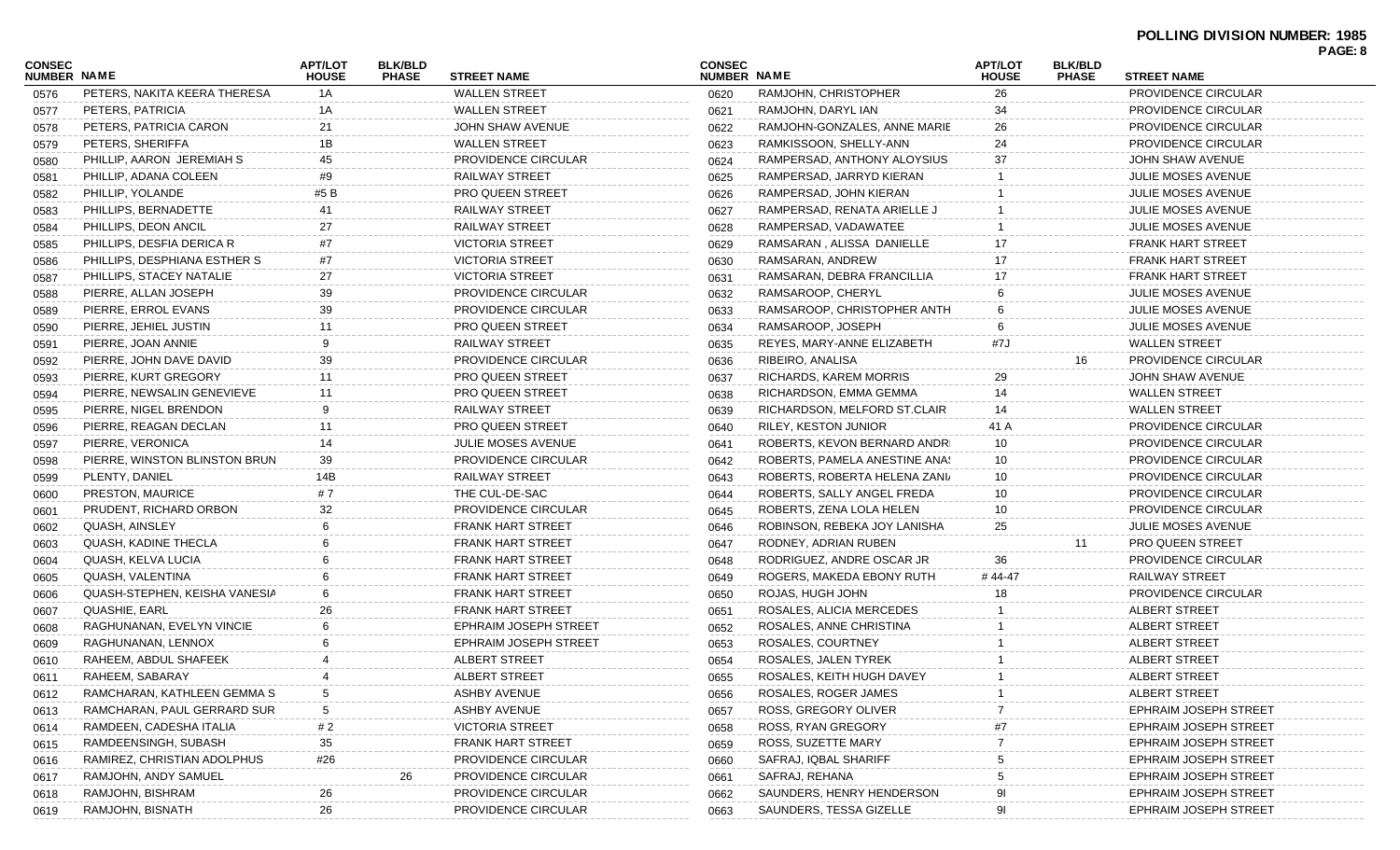| <b>CONSEC</b><br>NUMBER NAME |                               | <b>APT/LOT</b><br><b>HOUSE</b> | <b>BLK/BLD</b><br><b>PHASE</b> | <b>STREET NAME</b>           | <b>CONSEC</b><br>NUMBER NAME |                               | <b>APT/LOT</b><br><b>HOUSE</b> | <b>BLK/BLD</b><br><b>PHASE</b> | <b>STREET NAME</b>           |  |
|------------------------------|-------------------------------|--------------------------------|--------------------------------|------------------------------|------------------------------|-------------------------------|--------------------------------|--------------------------------|------------------------------|--|
| 0576                         | PETERS, NAKITA KEERA THERESA  | 1A                             |                                | <b>WALLEN STREET</b>         | 0620                         | RAMJOHN, CHRISTOPHER          | 26                             |                                | PROVIDENCE CIRCULAR          |  |
| 0577                         | PETERS, PATRICIA              | 1A                             |                                | <b>WALLEN STREET</b>         | 0621                         | RAMJOHN, DARYL IAN            | 34                             |                                | PROVIDENCE CIRCULAR          |  |
| 0578                         | PETERS, PATRICIA CARON        | 21                             |                                | JOHN SHAW AVENUE             | 0622                         | RAMJOHN-GONZALES, ANNE MARIE  | 26                             |                                | PROVIDENCE CIRCULAR          |  |
| 0579                         | PETERS, SHERIFFA              | 1B                             |                                | <b>WALLEN STREET</b>         | 0623                         | RAMKISSOON, SHELLY-ANN        | 24                             |                                | PROVIDENCE CIRCULAR          |  |
| 0580                         | PHILLIP, AARON JEREMIAH S     | 45                             |                                | PROVIDENCE CIRCULAR          | 0624                         | RAMPERSAD, ANTHONY ALOYSIUS   | 37                             |                                | JOHN SHAW AVENUE             |  |
| 0581                         | PHILLIP, ADANA COLEEN         | #9                             |                                | RAILWAY STREET               | 0625                         | RAMPERSAD, JARRYD KIERAN      |                                |                                | <b>JULIE MOSES AVENUE</b>    |  |
| 0582                         | PHILLIP, YOLANDE              | #5 B                           |                                | <b>PRO QUEEN STREET</b>      | 0626                         | RAMPERSAD, JOHN KIERAN        |                                |                                | <b>JULIE MOSES AVENUE</b>    |  |
| 0583                         | PHILLIPS, BERNADETTE          | 41                             |                                | RAILWAY STREET               | 0627                         | RAMPERSAD, RENATA ARIELLE J   |                                |                                | <b>JULIE MOSES AVENUE</b>    |  |
| 0584                         | PHILLIPS, DEON ANCIL          | 27                             |                                | RAILWAY STREET               | 0628                         | RAMPERSAD, VADAWATEE          |                                |                                | <b>JULIE MOSES AVENUE</b>    |  |
| 0585                         | PHILLIPS, DESFIA DERICA R     | #7                             |                                | <b>VICTORIA STREET</b>       | 0629                         | RAMSARAN, ALISSA DANIELLE     | 17                             |                                | <b>FRANK HART STREET</b>     |  |
| 0586                         | PHILLIPS, DESPHIANA ESTHER S  | #7                             |                                | <b>VICTORIA STREET</b>       | 0630                         | RAMSARAN, ANDREW              | 17                             |                                | <b>FRANK HART STREET</b>     |  |
| 0587                         | PHILLIPS, STACEY NATALIE      | 27                             |                                | <b>VICTORIA STREET</b>       | 0631                         | RAMSARAN, DEBRA FRANCILLIA    | 17                             |                                | <b>FRANK HART STREET</b>     |  |
| 0588                         | PIERRE, ALLAN JOSEPH          | 39                             |                                | PROVIDENCE CIRCULAR          | 0632                         | RAMSAROOP, CHERYL             | 6                              |                                | <b>JULIE MOSES AVENUE</b>    |  |
| 0589                         | PIERRE, ERROL EVANS           | 39                             |                                | PROVIDENCE CIRCULAR          | 0633                         | RAMSAROOP, CHRISTOPHER ANTH   |                                |                                | <b>JULIE MOSES AVENUE</b>    |  |
| 0590                         | PIERRE, JEHIEL JUSTIN         |                                |                                | <b>PRO QUEEN STREET</b>      | 0634                         | RAMSAROOP, JOSEPH             |                                |                                | <b>JULIE MOSES AVENUE</b>    |  |
| 0591                         | PIERRE, JOAN ANNIE            |                                |                                | RAILWAY STREET               | 0635                         | REYES, MARY-ANNE ELIZABETH    | #7J                            |                                | <b>WALLEN STREET</b>         |  |
| 0592                         | PIERRE, JOHN DAVE DAVID       | 39                             |                                | PROVIDENCE CIRCULAR          | 0636                         | RIBEIRO, ANALISA              |                                | 16                             | PROVIDENCE CIRCULAR          |  |
| 0593                         | PIERRE, KURT GREGORY          | 11                             |                                | <b>PRO QUEEN STREET</b>      | 0637                         | RICHARDS, KAREM MORRIS        | 29                             |                                | JOHN SHAW AVENUE             |  |
| 0594                         | PIERRE, NEWSALIN GENEVIEVE    |                                |                                | <b>PRO QUEEN STREET</b>      | 0638                         | RICHARDSON, EMMA GEMMA        | 14                             |                                | <b>WALLEN STREET</b>         |  |
| 0595                         | PIERRE, NIGEL BRENDON         |                                |                                | RAILWAY STREET               | 0639                         | RICHARDSON, MELFORD ST.CLAIR  | 14                             |                                | <b>WALLEN STREET</b>         |  |
| 0596                         | PIERRE, REAGAN DECLAN         | 11                             |                                | <b>PRO QUEEN STREET</b>      | 0640                         | <b>RILEY, KESTON JUNIOR</b>   | 41 A                           |                                | PROVIDENCE CIRCULAR          |  |
| 0597                         | PIERRE, VERONICA              | 14                             |                                | <b>JULIE MOSES AVENUE</b>    | 0641                         | ROBERTS, KEVON BERNARD ANDRI  | 10                             |                                | PROVIDENCE CIRCULAR          |  |
| 0598                         | PIERRE, WINSTON BLINSTON BRUN | 39                             |                                | PROVIDENCE CIRCULAR          | 0642                         | ROBERTS, PAMELA ANESTINE ANA! | 10                             |                                | PROVIDENCE CIRCULAR          |  |
| 0599                         | PLENTY, DANIEL                | 14B                            |                                | RAILWAY STREET               | 0643                         | ROBERTS, ROBERTA HELENA ZANI/ | 10                             |                                | PROVIDENCE CIRCULAR          |  |
| 0600                         | PRESTON, MAURICE              | # 7                            |                                | THE CUL-DE-SAC               | 0644                         | ROBERTS, SALLY ANGEL FREDA    | 10                             |                                | PROVIDENCE CIRCULAR          |  |
| 0601                         | PRUDENT, RICHARD ORBON        | 32                             |                                | PROVIDENCE CIRCULAR          | 0645                         | ROBERTS, ZENA LOLA HELEN      | 10                             |                                | PROVIDENCE CIRCULAR          |  |
| 0602                         | QUASH, AINSLEY                |                                |                                | <b>FRANK HART STREET</b>     | 0646                         | ROBINSON, REBEKA JOY LANISHA  | 25                             |                                | <b>JULIE MOSES AVENUE</b>    |  |
| 0603                         | QUASH, KADINE THECLA          |                                |                                | <b>FRANK HART STREET</b>     | 0647                         | RODNEY, ADRIAN RUBEN          |                                | 11                             | <b>PRO QUEEN STREET</b>      |  |
| 0604                         | QUASH, KELVA LUCIA            |                                |                                | <b>FRANK HART STREET</b>     | 0648                         | RODRIGUEZ, ANDRE OSCAR JR     | 36                             |                                | PROVIDENCE CIRCULAR          |  |
| 0605                         | QUASH, VALENTINA              |                                |                                | <b>FRANK HART STREET</b>     | 0649                         | ROGERS, MAKEDA EBONY RUTH     | # 44-47                        |                                | RAILWAY STREET               |  |
| 0606                         | QUASH-STEPHEN, KEISHA VANESIA |                                |                                | <b>FRANK HART STREET</b>     | 0650                         | ROJAS, HUGH JOHN              |                                |                                | PROVIDENCE CIRCULAR          |  |
| 0607                         | QUASHIE, EARL                 | 26                             |                                | <b>FRANK HART STREET</b>     | 0651                         | ROSALES, ALICIA MERCEDES      |                                |                                | ALBERT STREET                |  |
| 0608                         | RAGHUNANAN, EVELYN VINCIE     |                                |                                | <b>EPHRAIM JOSEPH STREET</b> | 0652                         | ROSALES, ANNE CHRISTINA       |                                |                                | ALBERT STREET                |  |
| 0609                         | RAGHUNANAN, LENNOX            |                                |                                | <b>EPHRAIM JOSEPH STREET</b> | 0653                         | ROSALES, COURTNEY             |                                |                                | ALBERT STREET                |  |
| 0610                         | RAHEEM, ABDUL SHAFEEK         |                                |                                | ALBERT STREET                | 0654                         | ROSALES, JALEN TYREK          |                                |                                | ALBERT STREET                |  |
| 0611                         | RAHEEM, SABARAY               |                                |                                | ALBERT STREET                | 0655                         | ROSALES, KEITH HUGH DAVEY     |                                |                                | ALBERT STREET                |  |
| 0612                         | RAMCHARAN, KATHLEEN GEMMA S   |                                |                                | ASHBY AVENUE                 | 0656                         | ROSALES, ROGER JAMES          |                                |                                | ALBERT STREET                |  |
| 0613                         | RAMCHARAN, PAUL GERRARD SUR   |                                |                                | ASHBY AVENUE                 | 0657                         | ROSS, GREGORY OLIVER          |                                |                                | <b>EPHRAIM JOSEPH STREET</b> |  |
| 0614                         | RAMDEEN, CADESHA ITALIA       | # 2                            |                                | <b>VICTORIA STREET</b>       | 0658                         | ROSS, RYAN GREGORY            |                                |                                | <b>EPHRAIM JOSEPH STREET</b> |  |
| 0615                         | RAMDEENSINGH, SUBASH          | 35                             |                                | <b>FRANK HART STREET</b>     | 0659                         | ROSS, SUZETTE MARY            |                                |                                | <b>EPHRAIM JOSEPH STREET</b> |  |
| 0616                         | RAMIREZ, CHRISTIAN ADOLPHUS   | #26                            |                                | PROVIDENCE CIRCULAR          | 0660                         | SAFRAJ, IQBAL SHARIFF         |                                |                                | <b>EPHRAIM JOSEPH STREET</b> |  |
| 0617                         | RAMJOHN, ANDY SAMUEL          |                                | 26                             | PROVIDENCE CIRCULAR          | 0661                         | SAFRAJ, REHANA                |                                |                                | <b>EPHRAIM JOSEPH STREET</b> |  |
| 0618                         | RAMJOHN, BISHRAM              | 26                             |                                | PROVIDENCE CIRCULAR          | 0662                         | SAUNDERS, HENRY HENDERSON     |                                |                                | <b>EPHRAIM JOSEPH STREET</b> |  |
| 0619                         | RAMJOHN, BISNATH              | 26                             |                                | PROVIDENCE CIRCULAR          | 0663                         | SAUNDERS, TESSA GIZELLE       | 91                             |                                | <b>EPHRAIM JOSEPH STREET</b> |  |
|                              |                               |                                |                                |                              |                              |                               |                                |                                |                              |  |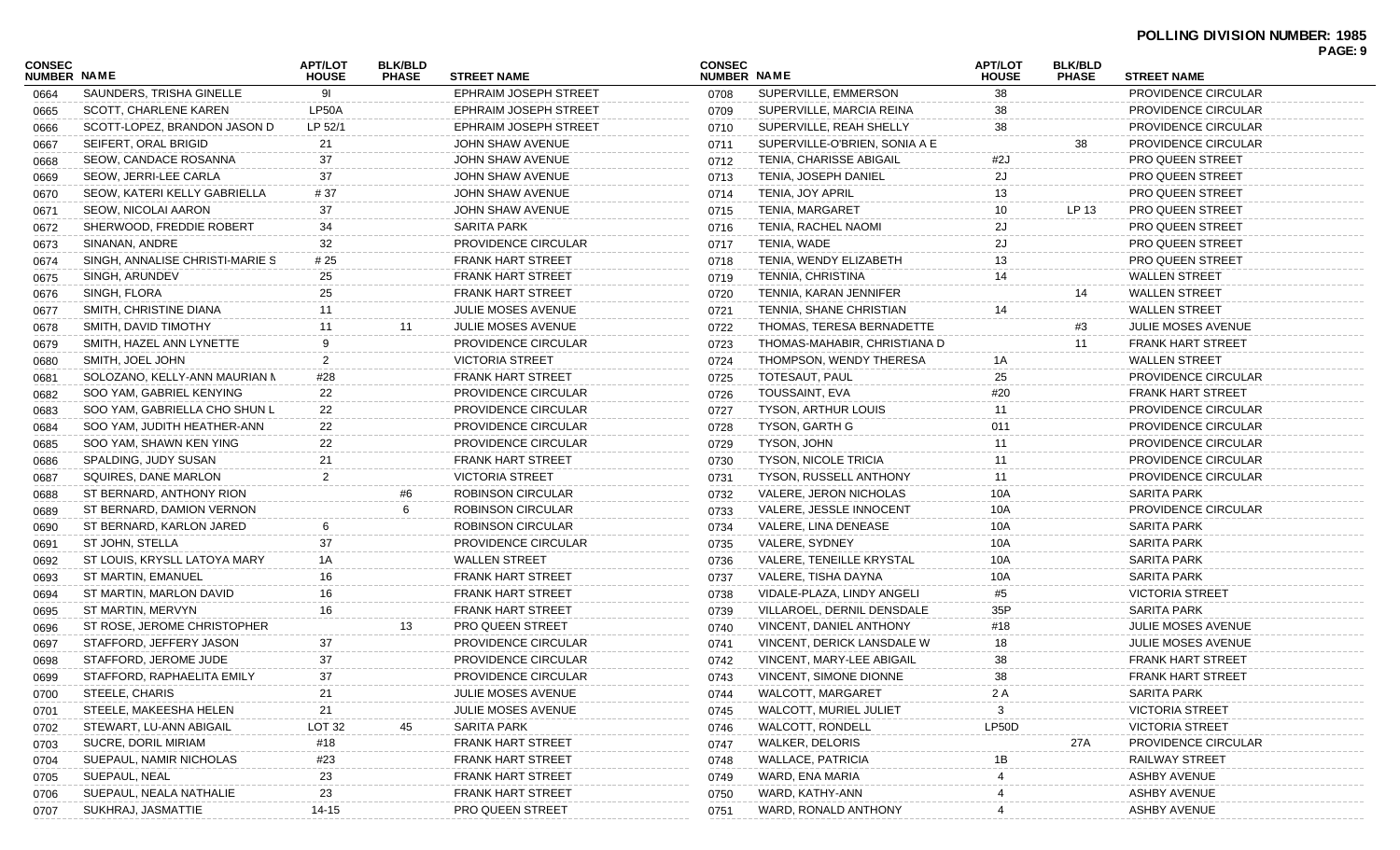| <b>CONSEC</b> |                                 | <b>APT/LOT</b> | <b>BLK/BLD</b> |                              | <b>CONSEC</b>      |                               | <b>APT/LOT</b> | <b>BLK/BLD</b> |                            | PAGE: 9 |
|---------------|---------------------------------|----------------|----------------|------------------------------|--------------------|-------------------------------|----------------|----------------|----------------------------|---------|
| NUMBER NAME   |                                 | <b>HOUSE</b>   | <b>PHASE</b>   | <b>STREET NAME</b>           | <b>NUMBER NAME</b> |                               | <b>HOUSE</b>   | <b>PHASE</b>   | <b>STREET NAME</b>         |         |
| 0664          | SAUNDERS, TRISHA GINELLE        | -91            |                | <b>EPHRAIM JOSEPH STREET</b> | 0708               | SUPERVILLE, EMMERSON          | 38             |                | PROVIDENCE CIRCULAR        |         |
| 0665          | SCOTT, CHARLENE KAREN           | LP50A          |                | <b>EPHRAIM JOSEPH STREET</b> | 0709               | SUPERVILLE, MARCIA REINA      | 38             |                | PROVIDENCE CIRCULAR        |         |
| 0666          | SCOTT-LOPEZ, BRANDON JASON D    | LP 52/1        |                | EPHRAIM JOSEPH STREET        | 0710               | SUPERVILLE, REAH SHELLY       | 38             |                | PROVIDENCE CIRCULAR        |         |
| 0667          | SEIFERT, ORAL BRIGID            | 21             |                | <b>JOHN SHAW AVENUE</b>      | 0711               | SUPERVILLE-O'BRIEN, SONIA A E |                | 38             | <b>PROVIDENCE CIRCULAR</b> |         |
| 0668          | SEOW, CANDACE ROSANNA           | 37             |                | JOHN SHAW AVENUE             | 0712               | TENIA, CHARISSE ABIGAIL       | #2J            |                | <b>PRO QUEEN STREET</b>    |         |
| 0669          | SEOW, JERRI-LEE CARLA           | 37             |                | JOHN SHAW AVENUE             | 0713               | TENIA, JOSEPH DANIEL          | 2J             |                | PRO QUEEN STREET           |         |
| 0670          | SEOW, KATERI KELLY GABRIELLA    | #37            |                | JOHN SHAW AVENUE             | 0714               | TENIA, JOY APRIL              | 13             |                | <b>PRO QUEEN STREET</b>    |         |
| 0671          | SEOW, NICOLAI AARON             | 37             |                | JOHN SHAW AVENUE             | 0715               | <b>TENIA, MARGARET</b>        | 10             | LP 13          | <b>PRO QUEEN STREET</b>    |         |
| 0672          | SHERWOOD, FREDDIE ROBERT        | 34             |                | SARITA PARK                  | 0716               | TENIA, RACHEL NAOMI           | 2J             |                | <b>PRO QUEEN STREET</b>    |         |
| 0673          | SINANAN, ANDRE                  | 32             |                | PROVIDENCE CIRCULAR          | 0717               | TENIA, WADE                   | 2J             |                | PRO QUEEN STREET           |         |
| 0674          | SINGH, ANNALISE CHRISTI-MARIE S | # 25           |                | <b>FRANK HART STREET</b>     | 0718               | TENIA, WENDY ELIZABETH        | 13             |                | <b>PRO QUEEN STREET</b>    |         |
| 0675          | SINGH, ARUNDEV                  | 25             |                | <b>FRANK HART STREET</b>     | 0719               | TENNIA, CHRISTINA             | 14             |                | <b>WALLEN STREET</b>       |         |
| 0676          | SINGH, FLORA                    | 25             |                | <b>FRANK HART STREET</b>     | 0720               | TENNIA, KARAN JENNIFER        |                | 14             | <b>WALLEN STREET</b>       |         |
| 0677          | SMITH, CHRISTINE DIANA          | 11             |                | JULIE MOSES AVENUE           | 0721               | TENNIA, SHANE CHRISTIAN       | 14             |                | <b>WALLEN STREET</b>       |         |
| 0678          | SMITH, DAVID TIMOTHY            | 11             | 11             | <b>JULIE MOSES AVENUE</b>    | 0722               | THOMAS, TERESA BERNADETTE     |                | #3             | <b>JULIE MOSES AVENUE</b>  |         |
| 0679          | SMITH, HAZEL ANN LYNETTE        | 9              |                | PROVIDENCE CIRCULAR          | 0723               | THOMAS-MAHABIR, CHRISTIANA D  |                | 11             | <b>FRANK HART STREET</b>   |         |
| 0680          | SMITH, JOEL JOHN                | 2              |                | <b>VICTORIA STREET</b>       | 0724               | THOMPSON, WENDY THERESA       | 1Α             |                | <b>WALLEN STREET</b>       |         |
| 0681          | SOLOZANO, KELLY-ANN MAURIAN N   | #28            |                | <b>FRANK HART STREET</b>     | 0725               | TOTESAUT, PAUL                | 25             |                | PROVIDENCE CIRCULAR        |         |
| 0682          | SOO YAM, GABRIEL KENYING        | 22             |                | <b>PROVIDENCE CIRCULAR</b>   | 0726               | TOUSSAINT, EVA                | #20            |                | FRANK HART STREET          |         |
| 0683          | SOO YAM, GABRIELLA CHO SHUN L   | 22             |                | PROVIDENCE CIRCULAR          | 0727               | <b>TYSON, ARTHUR LOUIS</b>    | 11             |                | PROVIDENCE CIRCULAR        |         |
| 0684          | SOO YAM, JUDITH HEATHER-ANN     | 22             |                | PROVIDENCE CIRCULAR          | 0728               | <b>TYSON, GARTH G</b>         | 011            |                | PROVIDENCE CIRCULAR        |         |
| 0685          | SOO YAM, SHAWN KEN YING         | 22             |                | PROVIDENCE CIRCULAR          | 0729               | TYSON, JOHN                   | 11             |                | PROVIDENCE CIRCULAR        |         |
| 0686          | SPALDING, JUDY SUSAN            | 21             |                | FRANK HART STREET            | 0730               | <b>TYSON, NICOLE TRICIA</b>   | 11             |                | PROVIDENCE CIRCULAR        |         |
| 0687          | SQUIRES, DANE MARLON            | $\overline{2}$ |                | <b>VICTORIA STREET</b>       | 0731               | TYSON, RUSSELL ANTHONY        | 11             |                | PROVIDENCE CIRCULAR        |         |
| 0688          | ST BERNARD, ANTHONY RION        |                | #6             | ROBINSON CIRCULAR            | 0732               | VALERE, JERON NICHOLAS        | 10A            |                | <b>SARITA PARK</b>         |         |
| 0689          | ST BERNARD, DAMION VERNON       |                |                | ROBINSON CIRCULAR            | 0733               | VALERE, JESSLE INNOCENT       | 10A            |                | PROVIDENCE CIRCULAR        |         |
| 0690          | ST BERNARD, KARLON JARED        |                |                | ROBINSON CIRCULAR            | 0734               | VALERE, LINA DENEASE          | 10A            |                | <b>SARITA PARK</b>         |         |
| 0691          | ST JOHN, STELLA                 | 37             |                | PROVIDENCE CIRCULAR          | 0735               | VALERE, SYDNEY                | 10A            |                | <b>SARITA PARK</b>         |         |
| 0692          | ST LOUIS, KRYSLL LATOYA MARY    | 1A             |                | <b>WALLEN STREET</b>         | 0736               | VALERE, TENEILLE KRYSTAL      | 10A            |                | <b>SARITA PARK</b>         |         |
| 0693          | ST MARTIN, EMANUEL              | 16             |                | <b>FRANK HART STREET</b>     | 0737               | VALERE, TISHA DAYNA           | 10A            |                | <b>SARITA PARK</b>         |         |
| 0694          | ST MARTIN, MARLON DAVID         | 16             |                | <b>FRANK HART STREET</b>     | 0738               | VIDALE-PLAZA, LINDY ANGELI    | #5             |                | <b>VICTORIA STREET</b>     |         |
| 0695          | ST MARTIN, MERVYN               | 16             |                | FRANK HART STREET            | 0739               | VILLAROEL, DERNIL DENSDALE    | 35P            |                | <b>SARITA PARK</b>         |         |
| 0696          | ST ROSE, JEROME CHRISTOPHER     |                | 13             | <b>PRO QUEEN STREET</b>      | 0740               | VINCENT, DANIEL ANTHONY       | #18            |                | <b>JULIE MOSES AVENUE</b>  |         |
| 0697          | STAFFORD, JEFFERY JASON         | 37             |                | PROVIDENCE CIRCULAR          | 0741               | VINCENT, DERICK LANSDALE W    | 18             |                | JULIE MOSES AVENUE         |         |
| 0698          | STAFFORD, JEROME JUDE           | 37             |                | PROVIDENCE CIRCULAR          | 0742               | VINCENT, MARY-LEE ABIGAIL     | 38             |                | <b>FRANK HART STREET</b>   |         |
| 0699          | STAFFORD, RAPHAELITA EMILY      | 37             |                | PROVIDENCE CIRCULAR          | 0743               | VINCENT, SIMONE DIONNE        | 38             |                | FRANK HART STREET          |         |
| 0700          | STEELE, CHARIS                  | 21             |                | JULIE MOSES AVENUE           | 0744               | WALCOTT, MARGARET             | 2 A            |                | <b>SARITA PARK</b>         |         |
| 0701          | STEELE, MAKEESHA HELEN          | 21             |                | JULIE MOSES AVENUE           | 0745               | WALCOTT, MURIEL JULIET        | 3              |                | <b>VICTORIA STREET</b>     |         |
| 0702          | STEWART, LU-ANN ABIGAIL         | LOT 32         | 45             | <b>SARITA PARK</b>           | 0746               | <b>WALCOTT, RONDELL</b>       | LP50D          |                | <b>VICTORIA STREET</b>     |         |
| 0703          | SUCRE, DORIL MIRIAM             | #18            |                | <b>FRANK HART STREET</b>     | 0747               | <b>WALKER, DELORIS</b>        |                | 27A            | PROVIDENCE CIRCULAR        |         |
| 0704          | SUEPAUL, NAMIR NICHOLAS         | #23            |                | <b>FRANK HART STREET</b>     | 0748               | <b>WALLACE, PATRICIA</b>      | 1Β             |                | <b>RAILWAY STREET</b>      |         |
| 0705          | SUEPAUL, NEAL                   | 23             |                | FRANK HART STREET            | 0749               | WARD, ENA MARIA               |                |                | <b>ASHBY AVENUE</b>        |         |
| 0706          | SUEPAUL, NEALA NATHALIE         | 23             |                | <b>FRANK HART STREET</b>     | 0750               | WARD, KATHY-ANN               |                |                | <b>ASHBY AVENUE</b>        |         |
| 0707          | SUKHRAJ, JASMATTIE              | $14 - 15$      |                | PRO QUEEN STREET             | 0751               | WARD, RONALD ANTHONY          |                |                | <b>ASHBY AVENUE</b>        |         |
|               |                                 |                |                |                              |                    |                               |                |                |                            |         |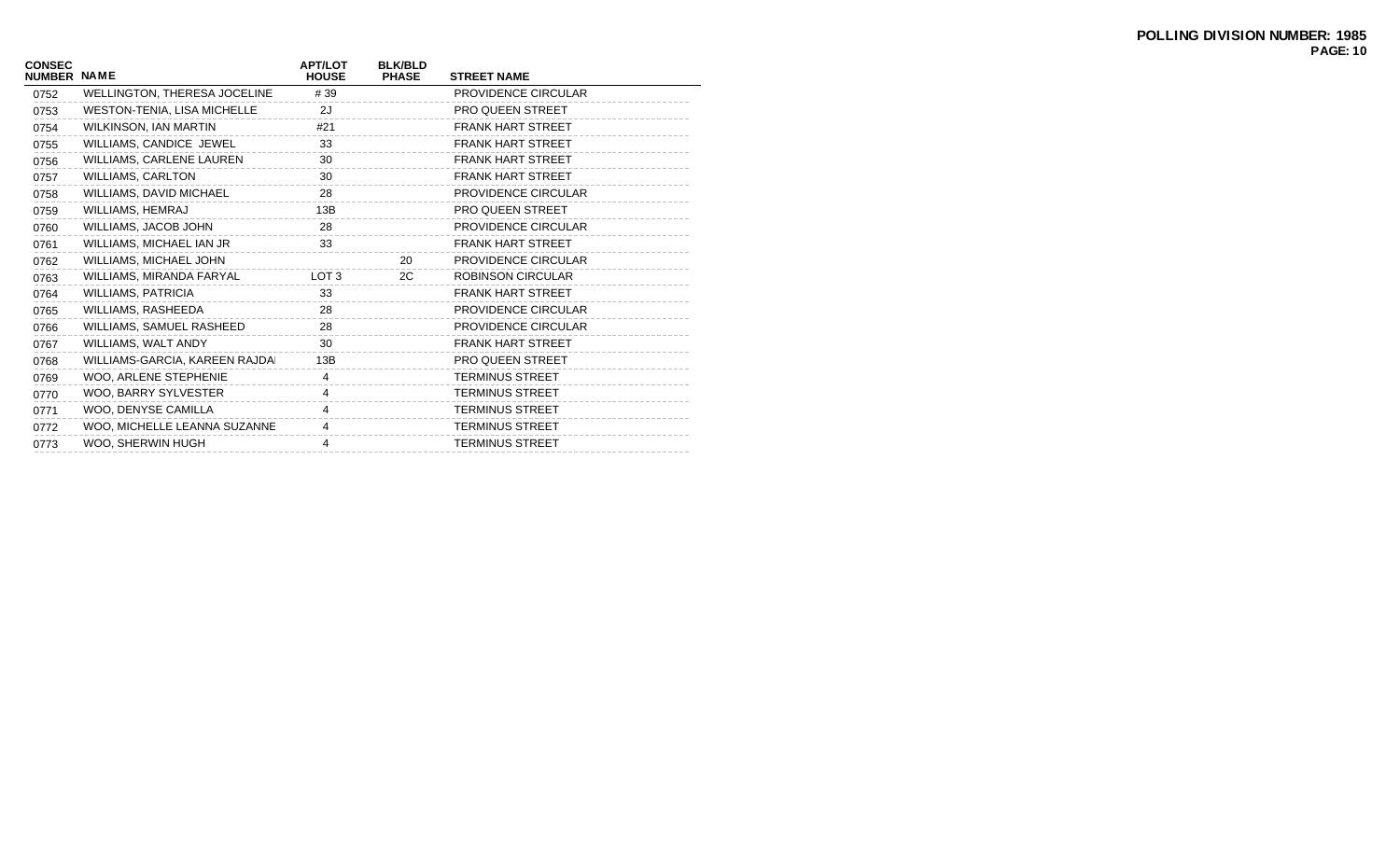| <b>CONSEC</b><br><b>NUMBER NAME</b> |                                    | <b>APT/LOT</b><br><b>HOUSE</b> | <b>BLK/BLD</b><br><b>PHASE</b> | <b>STREET NAME</b>       |
|-------------------------------------|------------------------------------|--------------------------------|--------------------------------|--------------------------|
| 0752                                | WELLINGTON, THERESA JOCELINE       | #39                            |                                | PROVIDENCE CIRCULAR      |
| 0753                                | <b>WESTON-TENIA, LISA MICHELLE</b> | 2J                             |                                | <b>PRO QUEEN STREET</b>  |
| 0754                                | WILKINSON, IAN MARTIN              | #21                            |                                | <b>FRANK HART STREET</b> |
| 0755                                | WILLIAMS, CANDICE JEWEL            | 33                             |                                | <b>FRANK HART STREET</b> |
| 0756                                | WILLIAMS, CARLENE LAUREN           | 30                             |                                | <b>FRANK HART STREET</b> |
| 0757                                | <b>WILLIAMS, CARLTON</b>           | 30                             |                                | <b>FRANK HART STREET</b> |
| 0758                                | WILLIAMS, DAVID MICHAEL            | 28                             |                                | PROVIDENCE CIRCULAR      |
| 0759                                | WILLIAMS, HEMRAJ                   | 13B                            |                                | <b>PRO QUEEN STREET</b>  |
| 0760                                | WILLIAMS, JACOB JOHN               | 28                             |                                | PROVIDENCE CIRCULAR      |
| 0761                                | WILLIAMS, MICHAEL IAN JR           | 33                             |                                | <b>FRANK HART STREET</b> |
| 0762                                | WILLIAMS, MICHAEL JOHN             |                                | 20                             | PROVIDENCE CIRCULAR      |
| 0763                                | WILLIAMS, MIRANDA FARYAL           | LOT <sub>3</sub>               | 2C                             | <b>ROBINSON CIRCULAR</b> |
| 0764                                | <b>WILLIAMS, PATRICIA</b>          | 33                             |                                | <b>FRANK HART STREET</b> |
| 0765                                | WILLIAMS, RASHEEDA                 | 28                             |                                | PROVIDENCE CIRCULAR      |
| 0766                                | WILLIAMS, SAMUEL RASHEED           | 28                             |                                | PROVIDENCE CIRCULAR      |
| 0767                                | WILLIAMS, WALT ANDY                | 30                             |                                | <b>FRANK HART STREET</b> |
| 0768                                | WILLIAMS-GARCIA, KAREEN RAJDAI     | 13B                            |                                | <b>PRO QUEEN STREET</b>  |
| 0769                                | WOO, ARLENE STEPHENIE              | 4                              |                                | <b>TERMINUS STREET</b>   |
| 0770                                | WOO, BARRY SYLVESTER               | 4                              |                                | <b>TERMINUS STREET</b>   |
| 0771                                | WOO, DENYSE CAMILLA                | 4                              |                                | <b>TERMINUS STREET</b>   |
| 0772                                | WOO, MICHELLE LEANNA SUZANNE       | 4                              |                                | <b>TERMINUS STREET</b>   |
| 0773                                | WOO, SHERWIN HUGH                  | 4                              |                                | <b>TERMINUS STREET</b>   |